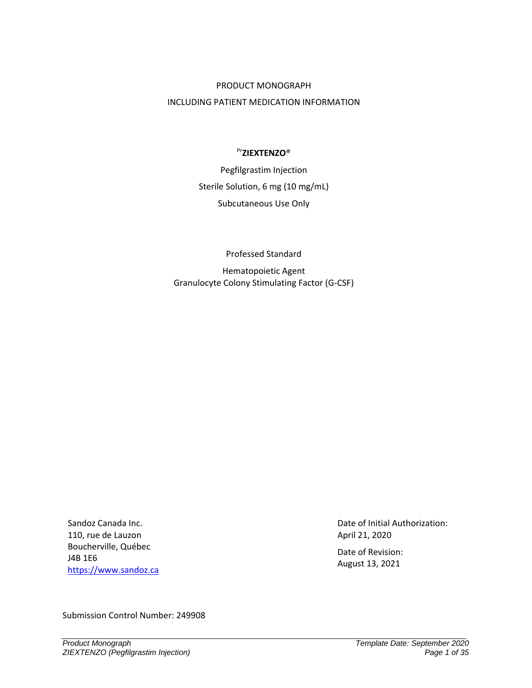#### PRODUCT MONOGRAPH

### INCLUDING PATIENT MEDICATION INFORMATION

# Pr**ZIEXTENZO**®

Pegfilgrastim Injection Sterile Solution, 6 mg (10 mg/mL) Subcutaneous Use Only

Professed Standard

Hematopoietic Agent Granulocyte Colony Stimulating Factor (G-CSF)

Sandoz Canada Inc. 110, rue de Lauzon Boucherville, Québec J4B 1E6 [https://www.sandoz.ca](https://www.sandoz.ca/fr) Date of Initial Authorization: April 21, 2020

Date of Revision: August 13, 2021

Submission Control Number: 249908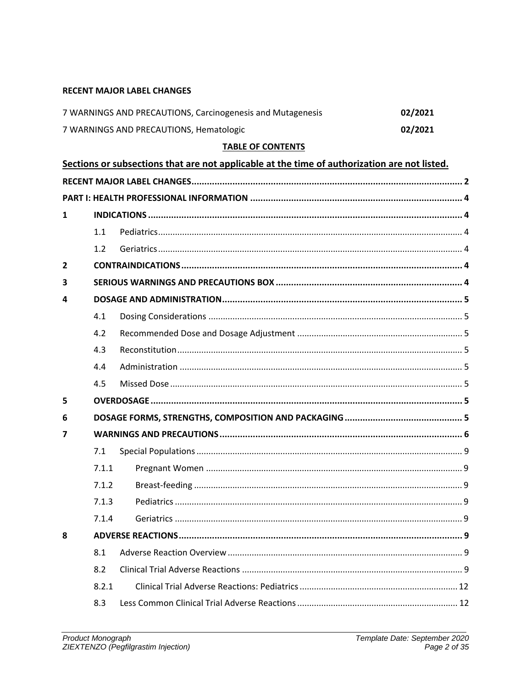# <span id="page-1-0"></span>**RECENT MAJOR LABEL CHANGES**

| 7 WARNINGS AND PRECAUTIONS, Carcinogenesis and Mutagenesis | 02/2021 |
|------------------------------------------------------------|---------|
| 7 WARNINGS AND PRECAUTIONS, Hematologic                    | 02/2021 |

# **TABLE OF CONTENTS**

|                |       | Sections or subsections that are not applicable at the time of authorization are not listed. |
|----------------|-------|----------------------------------------------------------------------------------------------|
|                |       |                                                                                              |
|                |       |                                                                                              |
| 1              |       |                                                                                              |
|                | 1.1   |                                                                                              |
|                | 1.2   |                                                                                              |
| $\overline{2}$ |       |                                                                                              |
| 3              |       |                                                                                              |
| 4              |       |                                                                                              |
|                | 4.1   |                                                                                              |
|                | 4.2   |                                                                                              |
|                | 4.3   |                                                                                              |
|                | 4.4   |                                                                                              |
|                | 4.5   |                                                                                              |
| 5              |       |                                                                                              |
| 6              |       |                                                                                              |
| 7              |       |                                                                                              |
|                | 7.1   |                                                                                              |
|                | 7.1.1 |                                                                                              |
|                | 7.1.2 |                                                                                              |
|                | 7.1.3 |                                                                                              |
|                | 7.1.4 |                                                                                              |
| 8              |       |                                                                                              |
|                | 8.1   |                                                                                              |
|                | 8.2   |                                                                                              |
|                | 8.2.1 |                                                                                              |
|                | 8.3   |                                                                                              |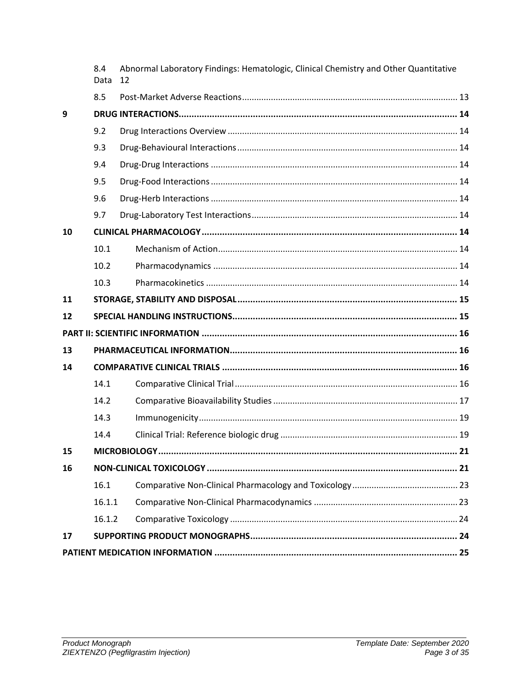|    | 8.4<br>Data | Abnormal Laboratory Findings: Hematologic, Clinical Chemistry and Other Quantitative<br>12 |
|----|-------------|--------------------------------------------------------------------------------------------|
|    | 8.5         |                                                                                            |
| 9  |             |                                                                                            |
|    | 9.2         |                                                                                            |
|    | 9.3         |                                                                                            |
|    | 9.4         |                                                                                            |
|    | 9.5         |                                                                                            |
|    | 9.6         |                                                                                            |
|    | 9.7         |                                                                                            |
| 10 |             |                                                                                            |
|    | 10.1        |                                                                                            |
|    | 10.2        |                                                                                            |
|    | 10.3        |                                                                                            |
| 11 |             |                                                                                            |
| 12 |             |                                                                                            |
|    |             |                                                                                            |
| 13 |             |                                                                                            |
| 14 |             |                                                                                            |
|    | 14.1        |                                                                                            |
|    | 14.2        |                                                                                            |
|    | 14.3        |                                                                                            |
|    | 14.4        |                                                                                            |
| 15 |             | . 21                                                                                       |
| 16 |             |                                                                                            |
|    | 16.1        |                                                                                            |
|    | 16.1.1      |                                                                                            |
|    | 16.1.2      |                                                                                            |
| 17 |             |                                                                                            |
|    |             |                                                                                            |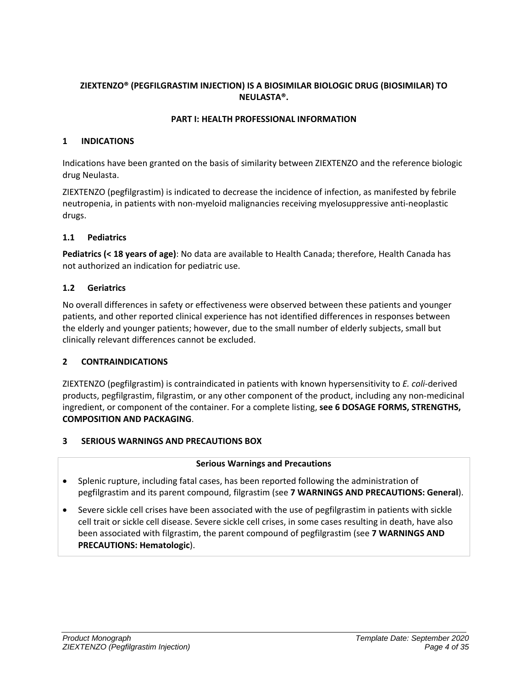# **ZIEXTENZO® (PEGFILGRASTIM INJECTION) IS A BIOSIMILAR BIOLOGIC DRUG (BIOSIMILAR) TO NEULASTA®.**

## **PART I: HEALTH PROFESSIONAL INFORMATION**

#### <span id="page-3-1"></span><span id="page-3-0"></span>**1 INDICATIONS**

Indications have been granted on the basis of similarity between ZIEXTENZO and the reference biologic drug Neulasta.

ZIEXTENZO (pegfilgrastim) is indicated to decrease the incidence of infection, as manifested by febrile neutropenia, in patients with non-myeloid malignancies receiving myelosuppressive anti-neoplastic drugs.

# <span id="page-3-2"></span>**1.1 Pediatrics**

**Pediatrics (< 18 years of age)**: No data are available to Health Canada; therefore, Health Canada has not authorized an indication for pediatric use.

# <span id="page-3-3"></span>**1.2 Geriatrics**

No overall differences in safety or effectiveness were observed between these patients and younger patients, and other reported clinical experience has not identified differences in responses between the elderly and younger patients; however, due to the small number of elderly subjects, small but clinically relevant differences cannot be excluded.

# <span id="page-3-4"></span>**2 CONTRAINDICATIONS**

ZIEXTENZO (pegfilgrastim) is contraindicated in patients with known hypersensitivity to *E. coli*-derived products, pegfilgrastim, filgrastim, or any other component of the product, including any non-medicinal ingredient, or component of the container. For a complete listing, **see [6](#page-4-7) [DOSAGE FORMS, STRENGTHS,](#page-4-7)  [COMPOSITION AND PACKAGING](#page-4-7)**.

# <span id="page-3-5"></span>**3 SERIOUS WARNINGS AND PRECAUTIONS BOX**

#### **Serious Warnings and Precautions**

- Splenic rupture, including fatal cases, has been reported following the administration of pegfilgrastim and its parent compound, filgrastim (see **[7](#page-5-0) [WARNINGS AND PRECAUTIONS:](#page-5-0) General**).
- Severe sickle cell crises have been associated with the use of pegfilgrastim in patients with sickle cell trait or sickle cell disease. Severe sickle cell crises, in some cases resulting in death, have also been associated with filgrastim, the parent compound of pegfilgrastim (see **[7](#page-5-0) [WARNINGS AND](#page-5-0)  [PRECAUTIONS:](#page-5-0) Hematologic**).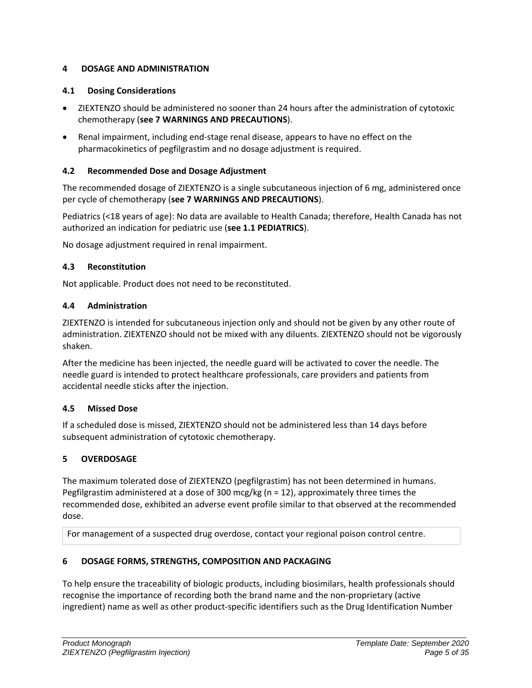# <span id="page-4-0"></span>**4 DOSAGE AND ADMINISTRATION**

# <span id="page-4-1"></span>**4.1 Dosing Considerations**

- ZIEXTENZO should be administered no sooner than 24 hours after the administration of cytotoxic chemotherapy (**see 7 WARNINGS AND PRECAUTIONS**).
- Renal impairment, including end-stage renal disease, appears to have no effect on the pharmacokinetics of pegfilgrastim and no dosage adjustment is required.

# <span id="page-4-2"></span>**4.2 Recommended Dose and Dosage Adjustment**

The recommended dosage of ZIEXTENZO is a single subcutaneous injection of 6 mg, administered once per cycle of chemotherapy (**see [7](#page-5-0) [WARNINGS AND PRECAUTIONS](#page-5-0)**).

Pediatrics (<18 years of age): No data are available to Health Canada; therefore, Health Canada has not authorized an indication for pediatric use (**see 1.1 PEDIATRICS**).

No dosage adjustment required in renal impairment.

# <span id="page-4-3"></span>**4.3 Reconstitution**

Not applicable. Product does not need to be reconstituted.

# <span id="page-4-4"></span>**4.4 Administration**

ZIEXTENZO is intended for subcutaneous injection only and should not be given by any other route of administration. ZIEXTENZO should not be mixed with any diluents. ZIEXTENZO should not be vigorously shaken.

After the medicine has been injected, the needle guard will be activated to cover the needle. The needle guard is intended to protect healthcare professionals, care providers and patients from accidental needle sticks after the injection.

# <span id="page-4-5"></span>**4.5 Missed Dose**

If a scheduled dose is missed, ZIEXTENZO should not be administered less than 14 days before subsequent administration of cytotoxic chemotherapy.

# <span id="page-4-6"></span>**5 OVERDOSAGE**

The maximum tolerated dose of ZIEXTENZO (pegfilgrastim) has not been determined in humans. Pegfilgrastim administered at a dose of 300 mcg/kg (n = 12), approximately three times the recommended dose, exhibited an adverse event profile similar to that observed at the recommended dose.

For management of a suspected drug overdose, contact your regional poison control centre.

# <span id="page-4-7"></span>**6 DOSAGE FORMS, STRENGTHS, COMPOSITION AND PACKAGING**

To help ensure the traceability of biologic products, including biosimilars, health professionals should recognise the importance of recording both the brand name and the non-proprietary (active ingredient) name as well as other product-specific identifiers such as the Drug Identification Number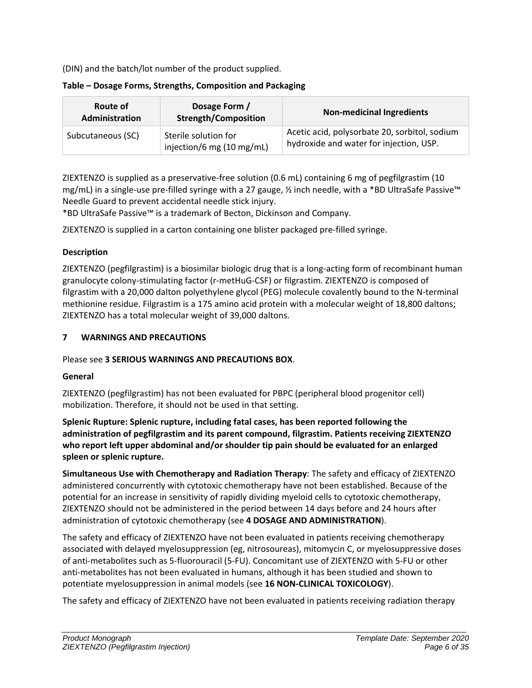(DIN) and the batch/lot number of the product supplied.

| Dosage Form /<br>Route of<br><b>Strength/Composition</b><br>Administration |                                                   | <b>Non-medicinal Ingredients</b>                                                         |  |
|----------------------------------------------------------------------------|---------------------------------------------------|------------------------------------------------------------------------------------------|--|
| Subcutaneous (SC)                                                          | Sterile solution for<br>injection/6 mg (10 mg/mL) | Acetic acid, polysorbate 20, sorbitol, sodium<br>hydroxide and water for injection, USP. |  |

# **Table – Dosage Forms, Strengths, Composition and Packaging**

ZIEXTENZO is supplied as a preservative-free solution (0.6 mL) containing 6 mg of pegfilgrastim (10 mg/mL) in a single-use pre-filled syringe with a 27 gauge, ½ inch needle, with a \*BD UltraSafe Passive™ Needle Guard to prevent accidental needle stick injury.

\*BD UltraSafe Passive™ is a trademark of Becton, Dickinson and Company.

ZIEXTENZO is supplied in a carton containing one blister packaged pre-filled syringe.

# **Description**

ZIEXTENZO (pegfilgrastim) is a biosimilar biologic drug that is a long-acting form of recombinant human granulocyte colony-stimulating factor (r-metHuG-CSF) or filgrastim. ZIEXTENZO is composed of filgrastim with a 20,000 dalton polyethylene glycol (PEG) molecule covalently bound to the N-terminal methionine residue. Filgrastim is a 175 amino acid protein with a molecular weight of 18,800 daltons; ZIEXTENZO has a total molecular weight of 39,000 daltons.

# <span id="page-5-0"></span>**7 WARNINGS AND PRECAUTIONS**

# Please see **3 SERIOUS WARNINGS AND PRECAUTIONS BOX**.

# **General**

ZIEXTENZO (pegfilgrastim) has not been evaluated for PBPC (peripheral blood progenitor cell) mobilization. Therefore, it should not be used in that setting.

**Splenic Rupture: Splenic rupture, including fatal cases, has been reported following the administration of pegfilgrastim and its parent compound, filgrastim. Patients receiving ZIEXTENZO who report left upper abdominal and/or shoulder tip pain should be evaluated for an enlarged spleen or splenic rupture.**

**Simultaneous Use with Chemotherapy and Radiation Therapy**: The safety and efficacy of ZIEXTENZO administered concurrently with cytotoxic chemotherapy have not been established. Because of the potential for an increase in sensitivity of rapidly dividing myeloid cells to cytotoxic chemotherapy, ZIEXTENZO should not be administered in the period between 14 days before and 24 hours after administration of cytotoxic chemotherapy (see **[4](#page-4-0) [DOSAGE AND ADMINISTRATION](#page-4-0)**).

The safety and efficacy of ZIEXTENZO have not been evaluated in patients receiving chemotherapy associated with delayed myelosuppression (eg, nitrosoureas), mitomycin C, or myelosuppressive doses of anti-metabolites such as 5-fluorouracil (5-FU). Concomitant use of ZIEXTENZO with 5-FU or other anti-metabolites has not been evaluated in humans, although it has been studied and shown to potentiate myelosuppression in animal models (see **16 NON-CLINICAL TOXICOLOGY**).

The safety and efficacy of ZIEXTENZO have not been evaluated in patients receiving radiation therapy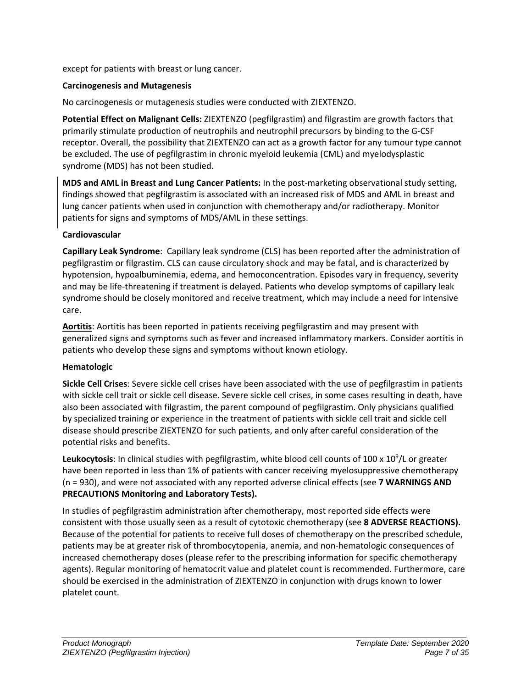except for patients with breast or lung cancer.

# **Carcinogenesis and Mutagenesis**

No carcinogenesis or mutagenesis studies were conducted with ZIEXTENZO.

**Potential Effect on Malignant Cells:** ZIEXTENZO (pegfilgrastim) and filgrastim are growth factors that primarily stimulate production of neutrophils and neutrophil precursors by binding to the G-CSF receptor. Overall, the possibility that ZIEXTENZO can act as a growth factor for any tumour type cannot be excluded. The use of pegfilgrastim in chronic myeloid leukemia (CML) and myelodysplastic syndrome (MDS) has not been studied.

**MDS and AML in Breast and Lung Cancer Patients:** In the post-marketing observational study setting, findings showed that pegfilgrastim is associated with an increased risk of MDS and AML in breast and lung cancer patients when used in conjunction with chemotherapy and/or radiotherapy. Monitor patients for signs and symptoms of MDS/AML in these settings.

# **Cardiovascular**

**Capillary Leak Syndrome**: Capillary leak syndrome (CLS) has been reported after the administration of pegfilgrastim or filgrastim. CLS can cause circulatory shock and may be fatal, and is characterized by hypotension, hypoalbuminemia, edema, and hemoconcentration. Episodes vary in frequency, severity and may be life-threatening if treatment is delayed. Patients who develop symptoms of capillary leak syndrome should be closely monitored and receive treatment, which may include a need for intensive care.

**Aortitis**: Aortitis has been reported in patients receiving pegfilgrastim and may present with generalized signs and symptoms such as fever and increased inflammatory markers. Consider aortitis in patients who develop these signs and symptoms without known etiology.

# **Hematologic**

**Sickle Cell Crises**: Severe sickle cell crises have been associated with the use of pegfilgrastim in patients with sickle cell trait or sickle cell disease. Severe sickle cell crises, in some cases resulting in death, have also been associated with filgrastim, the parent compound of pegfilgrastim. Only physicians qualified by specialized training or experience in the treatment of patients with sickle cell trait and sickle cell disease should prescribe ZIEXTENZO for such patients, and only after careful consideration of the potential risks and benefits.

Leukocytosis: In clinical studies with pegfilgrastim, white blood cell counts of 100 x 10<sup>9</sup>/L or greater have been reported in less than 1% of patients with cancer receiving myelosuppressive chemotherapy (n = 930), and were not associated with any reported adverse clinical effects (see **[7](#page-5-0) [WARNINGS AND](#page-5-0)  [PRECAUTIONS](#page-5-0) Monitoring and Laboratory Tests).** 

In studies of pegfilgrastim administration after chemotherapy, most reported side effects were consistent with those usually seen as a result of cytotoxic chemotherapy (see **[8](#page-8-5) [ADVERSE REACTIONS\)](#page-8-5).** Because of the potential for patients to receive full doses of chemotherapy on the prescribed schedule, patients may be at greater risk of thrombocytopenia, anemia, and non-hematologic consequences of increased chemotherapy doses (please refer to the prescribing information for specific chemotherapy agents). Regular monitoring of hematocrit value and platelet count is recommended. Furthermore, care should be exercised in the administration of ZIEXTENZO in conjunction with drugs known to lower platelet count.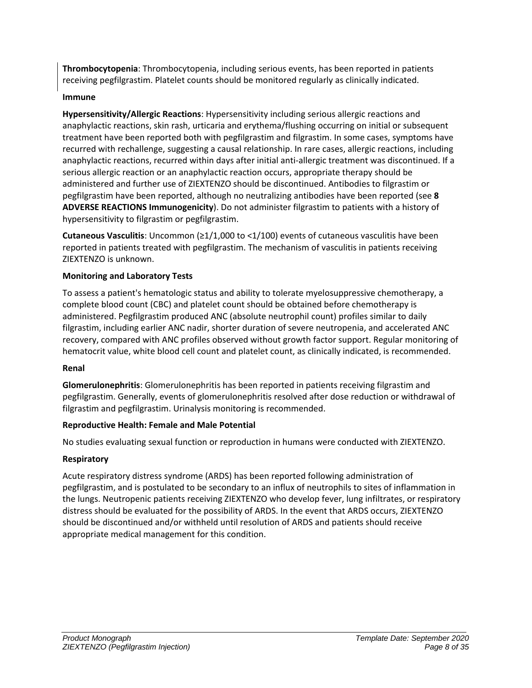**Thrombocytopenia**: Thrombocytopenia, including serious events, has been reported in patients receiving pegfilgrastim. Platelet counts should be monitored regularly as clinically indicated.

# **Immune**

**Hypersensitivity/Allergic Reactions**: Hypersensitivity including serious allergic reactions and anaphylactic reactions, skin rash, urticaria and erythema/flushing occurring on initial or subsequent treatment have been reported both with pegfilgrastim and filgrastim. In some cases, symptoms have recurred with rechallenge, suggesting a causal relationship. In rare cases, allergic reactions, including anaphylactic reactions, recurred within days after initial anti-allergic treatment was discontinued. If a serious allergic reaction or an anaphylactic reaction occurs, appropriate therapy should be administered and further use of ZIEXTENZO should be discontinued. Antibodies to filgrastim or pegfilgrastim have been reported, although no neutralizing antibodies have been reported (see **[8](#page-8-5) [ADVERSE REACTIONS](#page-8-5) Immunogenicity**). Do not administer filgrastim to patients with a history of hypersensitivity to filgrastim or pegfilgrastim.

**Cutaneous Vasculitis**: Uncommon (≥1/1,000 to <1/100) events of cutaneous vasculitis have been reported in patients treated with pegfilgrastim. The mechanism of vasculitis in patients receiving ZIEXTENZO is unknown.

# **Monitoring and Laboratory Tests**

To assess a patient's hematologic status and ability to tolerate myelosuppressive chemotherapy, a complete blood count (CBC) and platelet count should be obtained before chemotherapy is administered. Pegfilgrastim produced ANC (absolute neutrophil count) profiles similar to daily filgrastim, including earlier ANC nadir, shorter duration of severe neutropenia, and accelerated ANC recovery, compared with ANC profiles observed without growth factor support. Regular monitoring of hematocrit value, white blood cell count and platelet count, as clinically indicated, is recommended.

# **Renal**

**Glomerulonephritis**: Glomerulonephritis has been reported in patients receiving filgrastim and pegfilgrastim. Generally, events of glomerulonephritis resolved after dose reduction or withdrawal of filgrastim and pegfilgrastim. Urinalysis monitoring is recommended.

# **Reproductive Health: Female and Male Potential**

No studies evaluating sexual function or reproduction in humans were conducted with ZIEXTENZO.

# **Respiratory**

Acute respiratory distress syndrome (ARDS) has been reported following administration of pegfilgrastim, and is postulated to be secondary to an influx of neutrophils to sites of inflammation in the lungs. Neutropenic patients receiving ZIEXTENZO who develop fever, lung infiltrates, or respiratory distress should be evaluated for the possibility of ARDS. In the event that ARDS occurs, ZIEXTENZO should be discontinued and/or withheld until resolution of ARDS and patients should receive appropriate medical management for this condition.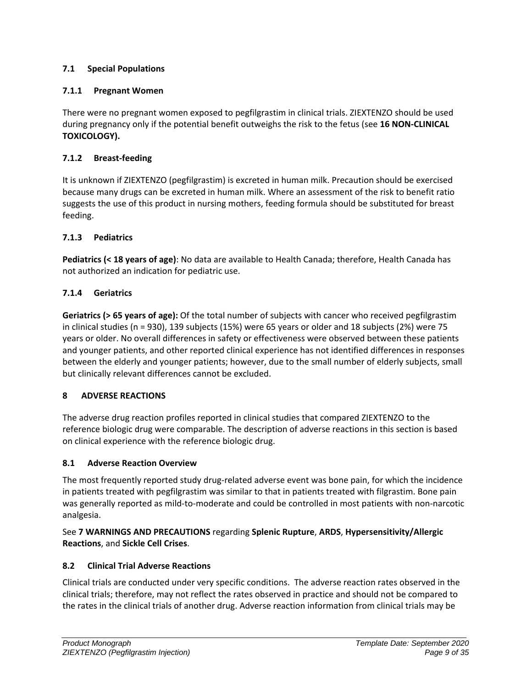# <span id="page-8-0"></span>**7.1 Special Populations**

# <span id="page-8-1"></span>**7.1.1 Pregnant Women**

There were no pregnant women exposed to pegfilgrastim in clinical trials. ZIEXTENZO should be used during pregnancy only if the potential benefit outweighs the risk to the fetus (see **16 NON-CLINICAL TOXICOLOGY).**

# <span id="page-8-2"></span>**7.1.2 Breast-feeding**

It is unknown if ZIEXTENZO (pegfilgrastim) is excreted in human milk. Precaution should be exercised because many drugs can be excreted in human milk. Where an assessment of the risk to benefit ratio suggests the use of this product in nursing mothers, feeding formula should be substituted for breast feeding.

# <span id="page-8-3"></span>**7.1.3 Pediatrics**

**Pediatrics (< 18 years of age)**: No data are available to Health Canada; therefore, Health Canada has not authorized an indication for pediatric use.

# <span id="page-8-4"></span>**7.1.4 Geriatrics**

**Geriatrics (> 65 years of age):** Of the total number of subjects with cancer who received pegfilgrastim in clinical studies (n = 930), 139 subjects (15%) were 65 years or older and 18 subjects (2%) were 75 years or older. No overall differences in safety or effectiveness were observed between these patients and younger patients, and other reported clinical experience has not identified differences in responses between the elderly and younger patients; however, due to the small number of elderly subjects, small but clinically relevant differences cannot be excluded.

# <span id="page-8-5"></span>**8 ADVERSE REACTIONS**

The adverse drug reaction profiles reported in clinical studies that compared ZIEXTENZO to the reference biologic drug were comparable. The description of adverse reactions in this section is based on clinical experience with the reference biologic drug.

# <span id="page-8-6"></span>**8.1 Adverse Reaction Overview**

The most frequently reported study drug-related adverse event was bone pain, for which the incidence in patients treated with pegfilgrastim was similar to that in patients treated with filgrastim. Bone pain was generally reported as mild-to-moderate and could be controlled in most patients with non-narcotic analgesia.

# See **[7](#page-5-0) [WARNINGS AND PRECAUTIONS](#page-5-0)** regarding **Splenic Rupture**, **ARDS**, **Hypersensitivity/Allergic Reactions**, and **Sickle Cell Crises**.

# <span id="page-8-7"></span>**8.2 Clinical Trial Adverse Reactions**

Clinical trials are conducted under very specific conditions. The adverse reaction rates observed in the clinical trials; therefore, may not reflect the rates observed in practice and should not be compared to the rates in the clinical trials of another drug. Adverse reaction information from clinical trials may be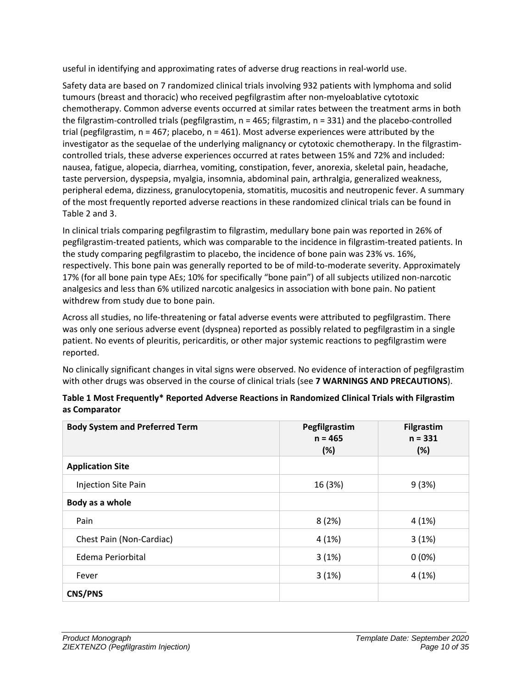useful in identifying and approximating rates of adverse drug reactions in real-world use.

Safety data are based on 7 randomized clinical trials involving 932 patients with lymphoma and solid tumours (breast and thoracic) who received pegfilgrastim after non-myeloablative cytotoxic chemotherapy. Common adverse events occurred at similar rates between the treatment arms in both the filgrastim-controlled trials (pegfilgrastim,  $n = 465$ ; filgrastim,  $n = 331$ ) and the placebo-controlled trial (pegfilgrastim,  $n = 467$ ; placebo,  $n = 461$ ). Most adverse experiences were attributed by the investigator as the sequelae of the underlying malignancy or cytotoxic chemotherapy. In the filgrastimcontrolled trials, these adverse experiences occurred at rates between 15% and 72% and included: nausea, fatigue, alopecia, diarrhea, vomiting, constipation, fever, anorexia, skeletal pain, headache, taste perversion, dyspepsia, myalgia, insomnia, abdominal pain, arthralgia, generalized weakness, peripheral edema, dizziness, granulocytopenia, stomatitis, mucositis and neutropenic fever. A summary of the most frequently reported adverse reactions in these randomized clinical trials can be found in Table 2 and 3.

In clinical trials comparing pegfilgrastim to filgrastim, medullary bone pain was reported in 26% of pegfilgrastim-treated patients, which was comparable to the incidence in filgrastim-treated patients. In the study comparing pegfilgrastim to placebo, the incidence of bone pain was 23% vs. 16%, respectively. This bone pain was generally reported to be of mild-to-moderate severity. Approximately 17% (for all bone pain type AEs; 10% for specifically "bone pain") of all subjects utilized non-narcotic analgesics and less than 6% utilized narcotic analgesics in association with bone pain. No patient withdrew from study due to bone pain.

Across all studies, no life-threatening or fatal adverse events were attributed to pegfilgrastim. There was only one serious adverse event (dyspnea) reported as possibly related to pegfilgrastim in a single patient. No events of pleuritis, pericarditis, or other major systemic reactions to pegfilgrastim were reported.

No clinically significant changes in vital signs were observed. No evidence of interaction of pegfilgrastim with other drugs was observed in the course of clinical trials (see **[7](#page-5-0) [WARNINGS AND PRECAUTIONS](#page-5-0)**).

| <b>Body System and Preferred Term</b> | Pegfilgrastim<br>$n = 465$<br>(%) | <b>Filgrastim</b><br>$n = 331$<br>$(\%)$ |
|---------------------------------------|-----------------------------------|------------------------------------------|
| <b>Application Site</b>               |                                   |                                          |
| <b>Injection Site Pain</b>            | 16 (3%)                           | 9(3%)                                    |
| Body as a whole                       |                                   |                                          |
| Pain                                  | 8(2%)                             | 4(1%)                                    |
| Chest Pain (Non-Cardiac)              | 4(1%)                             | 3(1%)                                    |
| Edema Periorbital                     | 3(1%)                             | $0(0\%)$                                 |
| Fever                                 | 3(1%)                             | 4(1%)                                    |
| <b>CNS/PNS</b>                        |                                   |                                          |

# **Table 1 Most Frequently\* Reported Adverse Reactions in Randomized Clinical Trials with Filgrastim as Comparator**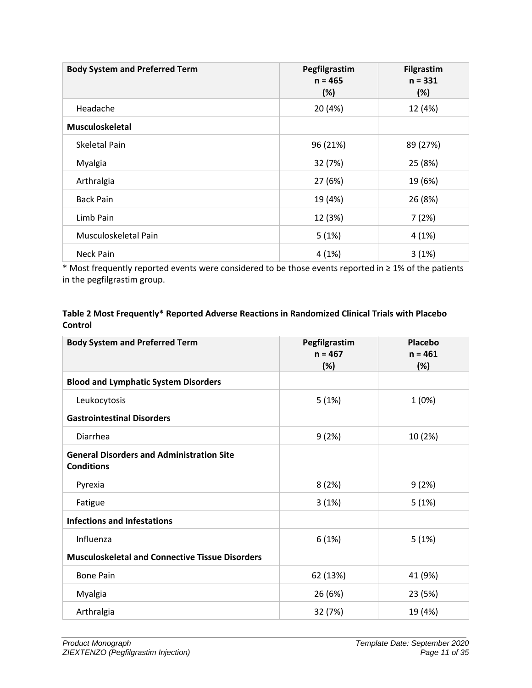| <b>Body System and Preferred Term</b> | Pegfilgrastim<br>$n = 465$<br>(%) | <b>Filgrastim</b><br>$n = 331$<br>(%) |
|---------------------------------------|-----------------------------------|---------------------------------------|
| Headache                              | 20 (4%)                           | 12 (4%)                               |
| <b>Musculoskeletal</b>                |                                   |                                       |
| Skeletal Pain                         | 96 (21%)                          | 89 (27%)                              |
| Myalgia                               | 32 (7%)                           | 25 (8%)                               |
| Arthralgia                            | 27 (6%)                           | 19 (6%)                               |
| <b>Back Pain</b>                      | 19 (4%)                           | 26 (8%)                               |
| Limb Pain                             | 12 (3%)                           | 7(2%)                                 |
| Musculoskeletal Pain                  | 5(1%)                             | 4(1%)                                 |
| Neck Pain                             | 4(1%)                             | 3(1%)                                 |

\* Most frequently reported events were considered to be those events reported in ≥ 1% of the patients in the pegfilgrastim group.

# **Table 2 Most Frequently\* Reported Adverse Reactions in Randomized Clinical Trials with Placebo Control**

| <b>Body System and Preferred Term</b>                                 | Pegfilgrastim<br>$n = 467$<br>(%) | Placebo<br>$n = 461$<br>(%) |
|-----------------------------------------------------------------------|-----------------------------------|-----------------------------|
| <b>Blood and Lymphatic System Disorders</b>                           |                                   |                             |
| Leukocytosis                                                          | 5(1%)                             | 1(0%)                       |
| <b>Gastrointestinal Disorders</b>                                     |                                   |                             |
| Diarrhea                                                              | 9(2%)                             | 10 (2%)                     |
| <b>General Disorders and Administration Site</b><br><b>Conditions</b> |                                   |                             |
| Pyrexia                                                               | 8(2%)                             | 9(2%)                       |
| Fatigue                                                               | 3(1%)                             | 5(1%)                       |
| <b>Infections and Infestations</b>                                    |                                   |                             |
| Influenza                                                             | 6(1%)                             | 5(1%)                       |
| <b>Musculoskeletal and Connective Tissue Disorders</b>                |                                   |                             |
| <b>Bone Pain</b>                                                      | 62 (13%)                          | 41 (9%)                     |
| Myalgia                                                               | 26 (6%)                           | 23 (5%)                     |
| Arthralgia                                                            | 32 (7%)                           | 19 (4%)                     |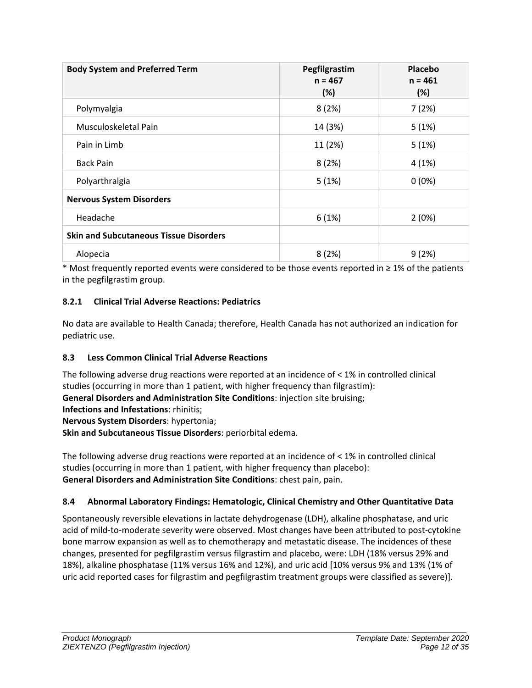| <b>Body System and Preferred Term</b>         | Pegfilgrastim<br>$n = 467$<br>(%) | <b>Placebo</b><br>$n = 461$<br>(%) |
|-----------------------------------------------|-----------------------------------|------------------------------------|
| Polymyalgia                                   | 8(2%)                             | 7(2%)                              |
| Musculoskeletal Pain                          | 14 (3%)                           | 5(1%)                              |
| Pain in Limb                                  | 11 (2%)                           | 5(1%)                              |
| <b>Back Pain</b>                              | 8(2%)                             | 4(1%)                              |
| Polyarthralgia                                | 5(1%)                             | $0(0\%)$                           |
| <b>Nervous System Disorders</b>               |                                   |                                    |
| Headache                                      | 6(1%)                             | 2(0%)                              |
| <b>Skin and Subcutaneous Tissue Disorders</b> |                                   |                                    |
| Alopecia                                      | 8(2%)                             | 9(2%)                              |

\* Most frequently reported events were considered to be those events reported in ≥ 1% of the patients in the pegfilgrastim group.

# <span id="page-11-0"></span>**8.2.1 Clinical Trial Adverse Reactions: Pediatrics**

No data are available to Health Canada; therefore, Health Canada has not authorized an indication for pediatric use.

# <span id="page-11-1"></span>**8.3 Less Common Clinical Trial Adverse Reactions**

The following adverse drug reactions were reported at an incidence of < 1% in controlled clinical studies (occurring in more than 1 patient, with higher frequency than filgrastim): **General Disorders and Administration Site Conditions**: injection site bruising; **Infections and Infestations**: rhinitis;

**Nervous System Disorders**: hypertonia;

**Skin and Subcutaneous Tissue Disorders**: periorbital edema.

The following adverse drug reactions were reported at an incidence of < 1% in controlled clinical studies (occurring in more than 1 patient, with higher frequency than placebo): **General Disorders and Administration Site Conditions**: chest pain, pain.

# <span id="page-11-2"></span>**8.4 Abnormal Laboratory Findings: Hematologic, Clinical Chemistry and Other Quantitative Data**

Spontaneously reversible elevations in lactate dehydrogenase (LDH), alkaline phosphatase, and uric acid of mild-to-moderate severity were observed. Most changes have been attributed to post-cytokine bone marrow expansion as well as to chemotherapy and metastatic disease. The incidences of these changes, presented for pegfilgrastim versus filgrastim and placebo, were: LDH (18% versus 29% and 18%), alkaline phosphatase (11% versus 16% and 12%), and uric acid [10% versus 9% and 13% (1% of uric acid reported cases for filgrastim and pegfilgrastim treatment groups were classified as severe)].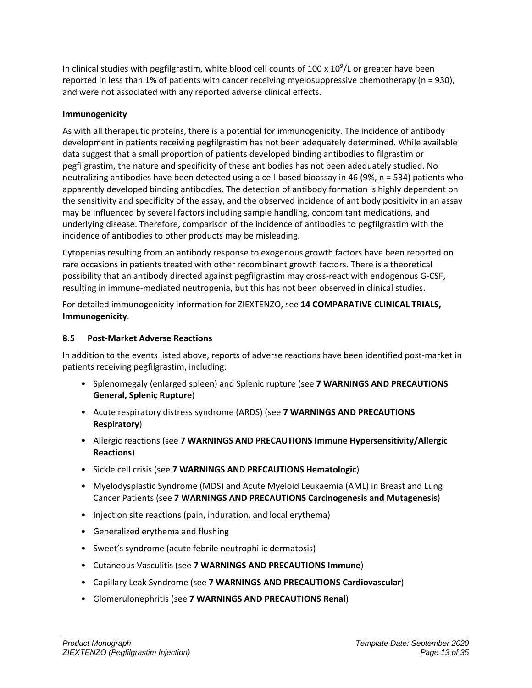In clinical studies with pegfilgrastim, white blood cell counts of 100 x  $10^9$ /L or greater have been reported in less than 1% of patients with cancer receiving myelosuppressive chemotherapy (n = 930), and were not associated with any reported adverse clinical effects.

# **Immunogenicity**

As with all therapeutic proteins, there is a potential for immunogenicity. The incidence of antibody development in patients receiving pegfilgrastim has not been adequately determined. While available data suggest that a small proportion of patients developed binding antibodies to filgrastim or pegfilgrastim, the nature and specificity of these antibodies has not been adequately studied. No neutralizing antibodies have been detected using a cell-based bioassay in 46 (9%, n = 534) patients who apparently developed binding antibodies. The detection of antibody formation is highly dependent on the sensitivity and specificity of the assay, and the observed incidence of antibody positivity in an assay may be influenced by several factors including sample handling, concomitant medications, and underlying disease. Therefore, comparison of the incidence of antibodies to pegfilgrastim with the incidence of antibodies to other products may be misleading.

Cytopenias resulting from an antibody response to exogenous growth factors have been reported on rare occasions in patients treated with other recombinant growth factors. There is a theoretical possibility that an antibody directed against pegfilgrastim may cross-react with endogenous G-CSF, resulting in immune-mediated neutropenia, but this has not been observed in clinical studies.

For detailed immunogenicity information for ZIEXTENZO, see **[14](#page-15-2) [COMPARATIVE CLINICAL](#page-15-2) TRIALS, Immunogenicity**.

# <span id="page-12-0"></span>**8.5 Post-Market Adverse Reactions**

In addition to the events listed above, reports of adverse reactions have been identified post-market in patients receiving pegfilgrastim, including:

- Splenomegaly (enlarged spleen) and Splenic rupture (see **[7](#page-5-0) [WARNINGS AND PRECAUTIONS](#page-5-0) General, Splenic Rupture**)
- Acute respiratory distress syndrome (ARDS) (see **[7](#page-5-0) [WARNINGS AND PRECAUTIONS](#page-5-0) Respiratory**)
- Allergic reactions (see **[7](#page-5-0) [WARNINGS AND PRECAUTIONS](#page-5-0) Immune Hypersensitivity/Allergic Reactions**)
- Sickle cell crisis (see **[7](#page-5-0) [WARNINGS AND PRECAUTIONS](#page-5-0) Hematologic**)
- Myelodysplastic Syndrome (MDS) and Acute Myeloid Leukaemia (AML) in Breast and Lung Cancer Patients (see **[7](#page-5-0) [WARNINGS AND PRECAUTIONS](#page-5-0) Carcinogenesis and Mutagenesis**)
- Injection site reactions (pain, induration, and local erythema)
- Generalized erythema and flushing
- Sweet's syndrome (acute febrile neutrophilic dermatosis)
- Cutaneous Vasculitis (see **[7](#page-5-0) [WARNINGS AND PRECAUTIONS](#page-5-0) Immune**)
- Capillary Leak Syndrome (see **[7](#page-5-0) [WARNINGS AND PRECAUTIONS](#page-5-0) Cardiovascular**)
- Glomerulonephritis (see **[7](#page-5-0) [WARNINGS AND PRECAUTIONS](#page-5-0) Renal**)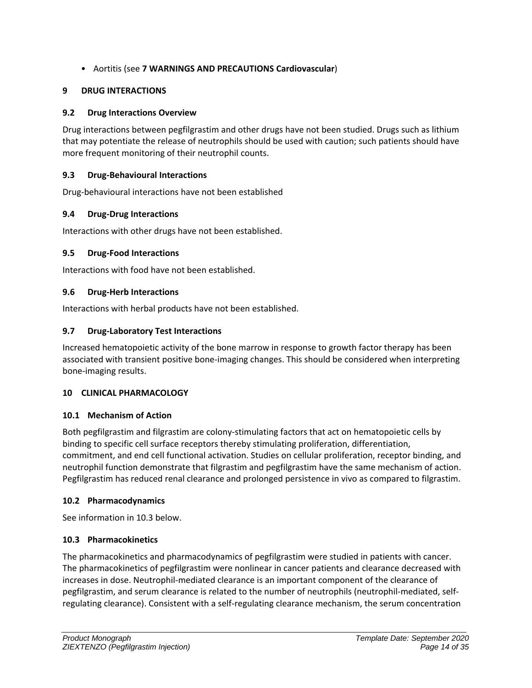# • Aortitis (see **[7](#page-5-0) [WARNINGS AND PRECAUTIONS](#page-5-0) Cardiovascular**)

# <span id="page-13-0"></span>**9 DRUG INTERACTIONS**

# <span id="page-13-1"></span>**9.2 Drug Interactions Overview**

Drug interactions between pegfilgrastim and other drugs have not been studied. Drugs such as lithium that may potentiate the release of neutrophils should be used with caution; such patients should have more frequent monitoring of their neutrophil counts.

# <span id="page-13-2"></span>**9.3 Drug-Behavioural Interactions**

Drug-behavioural interactions have not been established

# <span id="page-13-3"></span>**9.4 Drug-Drug Interactions**

Interactions with other drugs have not been established.

# <span id="page-13-4"></span>**9.5 Drug-Food Interactions**

Interactions with food have not been established.

# <span id="page-13-5"></span>**9.6 Drug-Herb Interactions**

Interactions with herbal products have not been established.

# <span id="page-13-6"></span>**9.7 Drug-Laboratory Test Interactions**

Increased hematopoietic activity of the bone marrow in response to growth factor therapy has been associated with transient positive bone-imaging changes. This should be considered when interpreting bone-imaging results.

# <span id="page-13-7"></span>**10 CLINICAL PHARMACOLOGY**

# <span id="page-13-8"></span>**10.1 Mechanism of Action**

Both pegfilgrastim and filgrastim are colony-stimulating factors that act on hematopoietic cells by binding to specific cell surface receptors thereby stimulating proliferation, differentiation, commitment, and end cell functional activation. Studies on cellular proliferation, receptor binding, and neutrophil function demonstrate that filgrastim and pegfilgrastim have the same mechanism of action. Pegfilgrastim has reduced renal clearance and prolonged persistence in vivo as compared to filgrastim.

# <span id="page-13-9"></span>**10.2 Pharmacodynamics**

See information in 10.3 below.

# <span id="page-13-10"></span>**10.3 Pharmacokinetics**

The pharmacokinetics and pharmacodynamics of pegfilgrastim were studied in patients with cancer. The pharmacokinetics of pegfilgrastim were nonlinear in cancer patients and clearance decreased with increases in dose. Neutrophil-mediated clearance is an important component of the clearance of pegfilgrastim, and serum clearance is related to the number of neutrophils (neutrophil-mediated, selfregulating clearance). Consistent with a self-regulating clearance mechanism, the serum concentration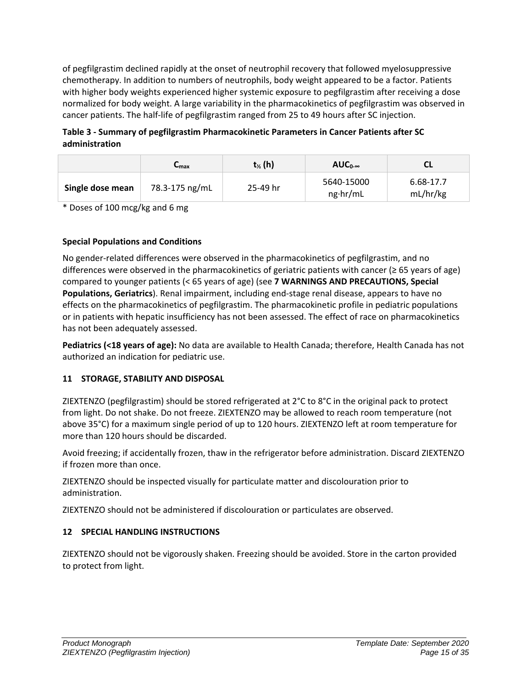of pegfilgrastim declined rapidly at the onset of neutrophil recovery that followed myelosuppressive chemotherapy. In addition to numbers of neutrophils, body weight appeared to be a factor. Patients with higher body weights experienced higher systemic exposure to pegfilgrastim after receiving a dose normalized for body weight. A large variability in the pharmacokinetics of pegfilgrastim was observed in cancer patients. The half-life of pegfilgrastim ranged from 25 to 49 hours after SC injection.

**Table 3 - Summary of pegfilgrastim Pharmacokinetic Parameters in Cancer Patients after SC administration**

|                  | ⊾max           | $t_{\frac{1}{2}}(h)$ | $AUC_{0-\infty}$               | СL                    |
|------------------|----------------|----------------------|--------------------------------|-----------------------|
| Single dose mean | 78.3-175 ng/mL | 25-49 hr             | 5640-15000<br>$ng \cdot hr/mL$ | 6.68-17.7<br>mL/hr/kg |

\* Doses of 100 mcg/kg and 6 mg

# **Special Populations and Conditions**

No gender-related differences were observed in the pharmacokinetics of pegfilgrastim, and no differences were observed in the pharmacokinetics of geriatric patients with cancer ( $\geq 65$  years of age) compared to younger patients (< 65 years of age) (see **7 WARNINGS AND PRECAUTIONS, Special Populations, Geriatrics**). Renal impairment, including end-stage renal disease, appears to have no effects on the pharmacokinetics of pegfilgrastim. The pharmacokinetic profile in pediatric populations or in patients with hepatic insufficiency has not been assessed. The effect of race on pharmacokinetics has not been adequately assessed.

**Pediatrics (<18 years of age):** No data are available to Health Canada; therefore, Health Canada has not authorized an indication for pediatric use.

# <span id="page-14-0"></span>**11 STORAGE, STABILITY AND DISPOSAL**

ZIEXTENZO (pegfilgrastim) should be stored refrigerated at 2°C to 8°C in the original pack to protect from light. Do not shake. Do not freeze. ZIEXTENZO may be allowed to reach room temperature (not above 35°C) for a maximum single period of up to 120 hours. ZIEXTENZO left at room temperature for more than 120 hours should be discarded.

Avoid freezing; if accidentally frozen, thaw in the refrigerator before administration. Discard ZIEXTENZO if frozen more than once.

ZIEXTENZO should be inspected visually for particulate matter and discolouration prior to administration.

ZIEXTENZO should not be administered if discolouration or particulates are observed.

# <span id="page-14-1"></span>**12 SPECIAL HANDLING INSTRUCTIONS**

ZIEXTENZO should not be vigorously shaken. Freezing should be avoided. Store in the carton provided to protect from light.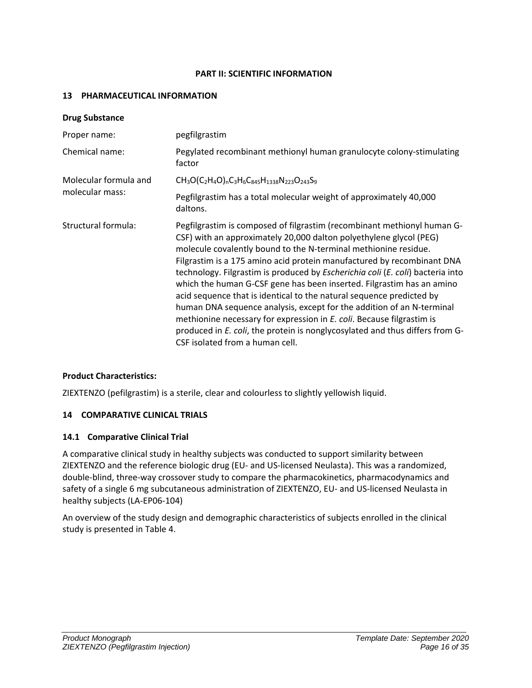#### **PART II: SCIENTIFIC INFORMATION**

### <span id="page-15-1"></span><span id="page-15-0"></span>**13 PHARMACEUTICAL INFORMATION**

| <b>Drug Substance</b> |                                                                                                                                                                                                                                                                                                                                                                                                                                                                                                                                                                                                                                                                                                                                                                                                    |
|-----------------------|----------------------------------------------------------------------------------------------------------------------------------------------------------------------------------------------------------------------------------------------------------------------------------------------------------------------------------------------------------------------------------------------------------------------------------------------------------------------------------------------------------------------------------------------------------------------------------------------------------------------------------------------------------------------------------------------------------------------------------------------------------------------------------------------------|
| Proper name:          | pegfilgrastim                                                                                                                                                                                                                                                                                                                                                                                                                                                                                                                                                                                                                                                                                                                                                                                      |
| Chemical name:        | Pegylated recombinant methionyl human granulocyte colony-stimulating<br>factor                                                                                                                                                                                                                                                                                                                                                                                                                                                                                                                                                                                                                                                                                                                     |
| Molecular formula and | $CH_3O(C_2H_4O)_nC_3H_6C_{845}H_{1338}N_{223}O_{243}S_9$                                                                                                                                                                                                                                                                                                                                                                                                                                                                                                                                                                                                                                                                                                                                           |
| molecular mass:       | Pegfilgrastim has a total molecular weight of approximately 40,000<br>daltons.                                                                                                                                                                                                                                                                                                                                                                                                                                                                                                                                                                                                                                                                                                                     |
| Structural formula:   | Pegfilgrastim is composed of filgrastim (recombinant methionyl human G-<br>CSF) with an approximately 20,000 dalton polyethylene glycol (PEG)<br>molecule covalently bound to the N-terminal methionine residue.<br>Filgrastim is a 175 amino acid protein manufactured by recombinant DNA<br>technology. Filgrastim is produced by Escherichia coli (E. coli) bacteria into<br>which the human G-CSF gene has been inserted. Filgrastim has an amino<br>acid sequence that is identical to the natural sequence predicted by<br>human DNA sequence analysis, except for the addition of an N-terminal<br>methionine necessary for expression in E. coli. Because filgrastim is<br>produced in E. coli, the protein is nonglycosylated and thus differs from G-<br>CSF isolated from a human cell. |

# **Product Characteristics:**

ZIEXTENZO (pefilgrastim) is a sterile, clear and colourless to slightly yellowish liquid.

# <span id="page-15-2"></span>**14 COMPARATIVE CLINICAL TRIALS**

#### <span id="page-15-3"></span>**14.1 Comparative Clinical Trial**

A comparative clinical study in healthy subjects was conducted to support similarity between ZIEXTENZO and the reference biologic drug (EU- and US-licensed Neulasta). This was a randomized, double-blind, three-way crossover study to compare the pharmacokinetics, pharmacodynamics and safety of a single 6 mg subcutaneous administration of ZIEXTENZO, EU- and US-licensed Neulasta in healthy subjects (LA-EP06-104)

An overview of the study design and demographic characteristics of subjects enrolled in the clinical study is presented in Table 4.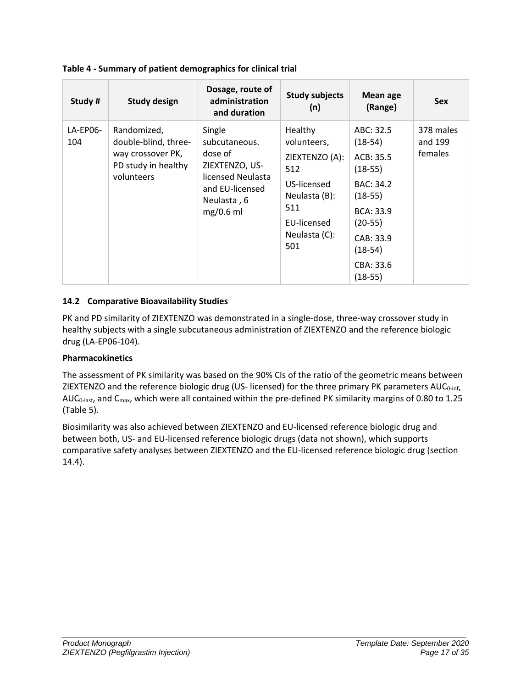| Study #         | <b>Study design</b>                                                                           | Dosage, route of<br>administration<br>and duration                                                                         | <b>Study subjects</b><br>(n)                                                                                                  | <b>Mean age</b><br>(Range)                                                                                                                                      | <b>Sex</b>                      |
|-----------------|-----------------------------------------------------------------------------------------------|----------------------------------------------------------------------------------------------------------------------------|-------------------------------------------------------------------------------------------------------------------------------|-----------------------------------------------------------------------------------------------------------------------------------------------------------------|---------------------------------|
| LA-EP06-<br>104 | Randomized,<br>double-blind, three-<br>way crossover PK,<br>PD study in healthy<br>volunteers | Single<br>subcutaneous.<br>dose of<br>ZIEXTENZO, US-<br>licensed Neulasta<br>and EU-licensed<br>Neulasta, 6<br>$mg/0.6$ ml | Healthy<br>volunteers,<br>ZIEXTENZO (A):<br>512<br>US-licensed<br>Neulasta (B):<br>511<br>EU-licensed<br>Neulasta (C):<br>501 | ABC: 32.5<br>$(18-54)$<br>ACB: 35.5<br>$(18-55)$<br>BAC: 34.2<br>$(18-55)$<br><b>BCA: 33.9</b><br>$(20-55)$<br>CAB: 33.9<br>$(18-54)$<br>CBA: 33.6<br>$(18-55)$ | 378 males<br>and 199<br>females |

# <span id="page-16-0"></span>**14.2 Comparative Bioavailability Studies**

PK and PD similarity of ZIEXTENZO was demonstrated in a single-dose, three-way crossover study in healthy subjects with a single subcutaneous administration of ZIEXTENZO and the reference biologic drug (LA-EP06-104).

# **Pharmacokinetics**

The assessment of PK similarity was based on the 90% CIs of the ratio of the geometric means between ZIEXTENZO and the reference biologic drug (US- licensed) for the three primary PK parameters  $AUC_{0\text{-inf}}$ , AUC<sub>0-last</sub>, and C<sub>max</sub>, which were all contained within the pre-defined PK similarity margins of 0.80 to 1.25 (Table 5).

Biosimilarity was also achieved between ZIEXTENZO and EU-licensed reference biologic drug and between both, US- and EU-licensed reference biologic drugs (data not shown), which supports comparative safety analyses between ZIEXTENZO and the EU-licensed reference biologic drug (section 14.4).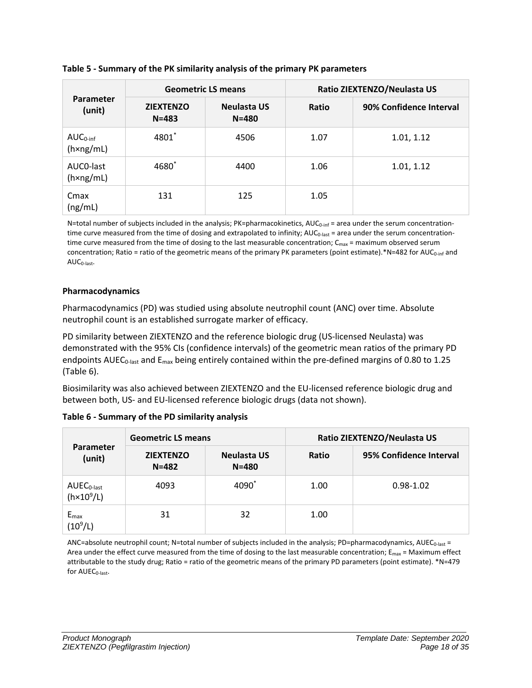| <b>Parameter</b><br>(unit)                 | <b>Geometric LS means</b>     |                                 | Ratio ZIEXTENZO/Neulasta US |                         |  |
|--------------------------------------------|-------------------------------|---------------------------------|-----------------------------|-------------------------|--|
|                                            | <b>ZIEXTENZO</b><br>$N = 483$ | <b>Neulasta US</b><br>$N = 480$ | Ratio                       | 90% Confidence Interval |  |
| $AUC_{0\text{-inf}}$<br>$(h \times ng/ml)$ | 4801*                         | 4506                            | 1.07                        | 1.01, 1.12              |  |
| AUCO-last<br>$(h \times ng/ml)$            | 4680*                         | 4400                            | 1.06                        | 1.01, 1.12              |  |
| Cmax<br>(ng/mL)                            | 131                           | 125                             | 1.05                        |                         |  |

# **Table 5 - Summary of the PK similarity analysis of the primary PK parameters**

N=total number of subjects included in the analysis; PK=pharmacokinetics, AUC<sub>0-inf</sub> = area under the serum concentrationtime curve measured from the time of dosing and extrapolated to infinity;  $AUC_{0\text{-last}}$  = area under the serum concentrationtime curve measured from the time of dosing to the last measurable concentration;  $C_{\text{max}}$  = maximum observed serum concentration; Ratio = ratio of the geometric means of the primary PK parameters (point estimate).\*N=482 for AUC<sub>0-inf</sub> and  $AUC_{0-<sub>last</sub>}.$ 

# **Pharmacodynamics**

Pharmacodynamics (PD) was studied using absolute neutrophil count (ANC) over time. Absolute neutrophil count is an established surrogate marker of efficacy.

PD similarity between ZIEXTENZO and the reference biologic drug (US-licensed Neulasta) was demonstrated with the 95% CIs (confidence intervals) of the geometric mean ratios of the primary PD endpoints AUEC<sub>0-last</sub> and  $E_{\text{max}}$  being entirely contained within the pre-defined margins of 0.80 to 1.25 (Table 6).

Biosimilarity was also achieved between ZIEXTENZO and the EU-licensed reference biologic drug and between both, US- and EU-licensed reference biologic drugs (data not shown).

| <b>Parameter</b><br>(unit)             | <b>Geometric LS means</b>     |                          | Ratio ZIEXTENZO/Neulasta US |                         |  |
|----------------------------------------|-------------------------------|--------------------------|-----------------------------|-------------------------|--|
|                                        | <b>ZIEXTENZO</b><br>$N = 482$ | Neulasta US<br>$N = 480$ | Ratio                       | 95% Confidence Interval |  |
| $AUEC0-last$<br>(h×10 <sup>9</sup> /L) | 4093                          | 4090                     | 1.00                        | $0.98 - 1.02$           |  |
| $E_{max}$<br>$(10^9/L)$                | 31                            | 32                       | 1.00                        |                         |  |

**Table 6 - Summary of the PD similarity analysis**

ANC=absolute neutrophil count; N=total number of subjects included in the analysis; PD=pharmacodynamics, AUEC<sub>0-last</sub> = Area under the effect curve measured from the time of dosing to the last measurable concentration;  $E_{\text{max}}$  = Maximum effect attributable to the study drug; Ratio = ratio of the geometric means of the primary PD parameters (point estimate). \*N=479 for AUEC<sub>0-last</sub>.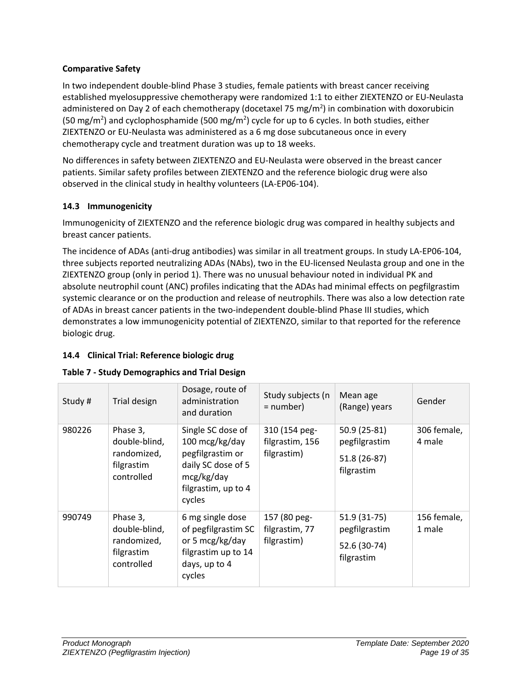# **Comparative Safety**

In two independent double-blind Phase 3 studies, female patients with breast cancer receiving established myelosuppressive chemotherapy were randomized 1:1 to either ZIEXTENZO or EU-Neulasta administered on Day 2 of each chemotherapy (docetaxel 75 mg/m<sup>2</sup>) in combination with doxorubicin (50 mg/m<sup>2</sup>) and cyclophosphamide (500 mg/m<sup>2</sup>) cycle for up to 6 cycles. In both studies, either ZIEXTENZO or EU-Neulasta was administered as a 6 mg dose subcutaneous once in every chemotherapy cycle and treatment duration was up to 18 weeks.

No differences in safety between ZIEXTENZO and EU-Neulasta were observed in the breast cancer patients. Similar safety profiles between ZIEXTENZO and the reference biologic drug were also observed in the clinical study in healthy volunteers (LA-EP06-104).

# <span id="page-18-0"></span>**14.3 Immunogenicity**

Immunogenicity of ZIEXTENZO and the reference biologic drug was compared in healthy subjects and breast cancer patients.

The incidence of ADAs (anti-drug antibodies) was similar in all treatment groups. In study LA-EP06-104, three subjects reported neutralizing ADAs (NAbs), two in the EU-licensed Neulasta group and one in the ZIEXTENZO group (only in period 1). There was no unusual behaviour noted in individual PK and absolute neutrophil count (ANC) profiles indicating that the ADAs had minimal effects on pegfilgrastim systemic clearance or on the production and release of neutrophils. There was also a low detection rate of ADAs in breast cancer patients in the two-independent double-blind Phase III studies, which demonstrates a low immunogenicity potential of ZIEXTENZO, similar to that reported for the reference biologic drug.

# <span id="page-18-1"></span>**14.4 Clinical Trial: Reference biologic drug**

|  | <b>Table 7 - Study Demographics and Trial Design</b> |  |
|--|------------------------------------------------------|--|
|--|------------------------------------------------------|--|

| Study# | Trial design                                                         | Dosage, route of<br>administration<br>and duration                                                                           | Study subjects (n<br>= number)                  | Mean age<br>(Range) years                                   | Gender                |
|--------|----------------------------------------------------------------------|------------------------------------------------------------------------------------------------------------------------------|-------------------------------------------------|-------------------------------------------------------------|-----------------------|
| 980226 | Phase 3,<br>double-blind,<br>randomized,<br>filgrastim<br>controlled | Single SC dose of<br>100 mcg/kg/day<br>pegfilgrastim or<br>daily SC dose of 5<br>mcg/kg/day<br>filgrastim, up to 4<br>cycles | 310 (154 peg-<br>filgrastim, 156<br>filgrastim) | 50.9 (25-81)<br>pegfilgrastim<br>51.8 (26-87)<br>filgrastim | 306 female,<br>4 male |
| 990749 | Phase 3,<br>double-blind,<br>randomized,<br>filgrastim<br>controlled | 6 mg single dose<br>of pegfilgrastim SC<br>or 5 mcg/kg/day<br>filgrastim up to 14<br>days, up to 4<br>cycles                 | 157 (80 peg-<br>filgrastim, 77<br>filgrastim)   | 51.9 (31-75)<br>pegfilgrastim<br>52.6 (30-74)<br>filgrastim | 156 female,<br>1 male |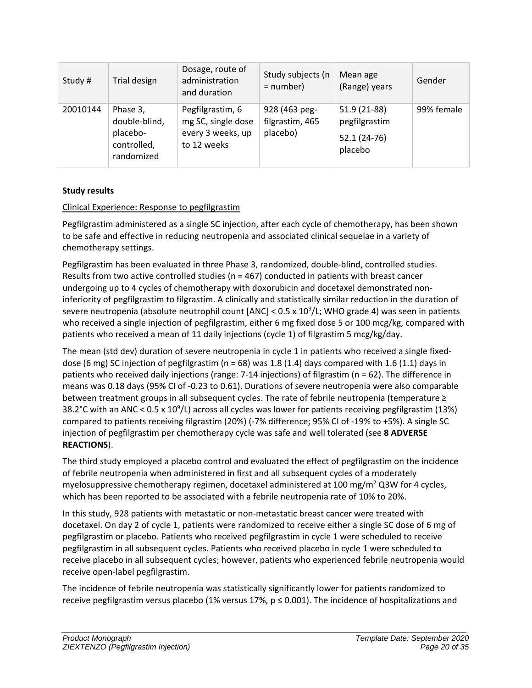| Study#   | Trial design                                                       | Dosage, route of<br>administration<br>and duration                         | Study subjects (n<br>$=$ number)             | Mean age<br>(Range) years                                 | Gender     |
|----------|--------------------------------------------------------------------|----------------------------------------------------------------------------|----------------------------------------------|-----------------------------------------------------------|------------|
| 20010144 | Phase 3,<br>double-blind,<br>placebo-<br>controlled,<br>randomized | Pegfilgrastim, 6<br>mg SC, single dose<br>every 3 weeks, up<br>to 12 weeks | 928 (463 peg-<br>filgrastim, 465<br>placebo) | 51.9 (21-88)<br>pegfilgrastim<br>$52.1(24-76)$<br>placebo | 99% female |

# **Study results**

# Clinical Experience: Response to pegfilgrastim

Pegfilgrastim administered as a single SC injection, after each cycle of chemotherapy, has been shown to be safe and effective in reducing neutropenia and associated clinical sequelae in a variety of chemotherapy settings.

Pegfilgrastim has been evaluated in three Phase 3, randomized, double-blind, controlled studies. Results from two active controlled studies (n = 467) conducted in patients with breast cancer undergoing up to 4 cycles of chemotherapy with doxorubicin and docetaxel demonstrated noninferiority of pegfilgrastim to filgrastim. A clinically and statistically similar reduction in the duration of severe neutropenia (absolute neutrophil count [ANC] < 0.5 x 10<sup>9</sup>/L; WHO grade 4) was seen in patients who received a single injection of pegfilgrastim, either 6 mg fixed dose 5 or 100 mcg/kg, compared with patients who received a mean of 11 daily injections (cycle 1) of filgrastim 5 mcg/kg/day.

The mean (std dev) duration of severe neutropenia in cycle 1 in patients who received a single fixeddose (6 mg) SC injection of pegfilgrastim ( $n = 68$ ) was 1.8 (1.4) days compared with 1.6 (1.1) days in patients who received daily injections (range: 7-14 injections) of filgrastim (n = 62). The difference in means was 0.18 days (95% CI of -0.23 to 0.61). Durations of severe neutropenia were also comparable between treatment groups in all subsequent cycles. The rate of febrile neutropenia (temperature ≥ 38.2°C with an ANC < 0.5 x 10<sup>9</sup>/L) across all cycles was lower for patients receiving pegfilgrastim (13%) compared to patients receiving filgrastim (20%) (-7% difference; 95% CI of -19% to +5%). A single SC injection of pegfilgrastim per chemotherapy cycle was safe and well tolerated (see **[8](#page-8-5) [ADVERSE](#page-8-5)  [REACTIONS](#page-8-5)**).

The third study employed a placebo control and evaluated the effect of pegfilgrastim on the incidence of febrile neutropenia when administered in first and all subsequent cycles of a moderately myelosuppressive chemotherapy regimen, docetaxel administered at 100 mg/m<sup>2</sup> Q3W for 4 cycles, which has been reported to be associated with a febrile neutropenia rate of 10% to 20%.

In this study, 928 patients with metastatic or non-metastatic breast cancer were treated with docetaxel. On day 2 of cycle 1, patients were randomized to receive either a single SC dose of 6 mg of pegfilgrastim or placebo. Patients who received pegfilgrastim in cycle 1 were scheduled to receive pegfilgrastim in all subsequent cycles. Patients who received placebo in cycle 1 were scheduled to receive placebo in all subsequent cycles; however, patients who experienced febrile neutropenia would receive open-label pegfilgrastim.

The incidence of febrile neutropenia was statistically significantly lower for patients randomized to receive pegfilgrastim versus placebo (1% versus 17%,  $p \le 0.001$ ). The incidence of hospitalizations and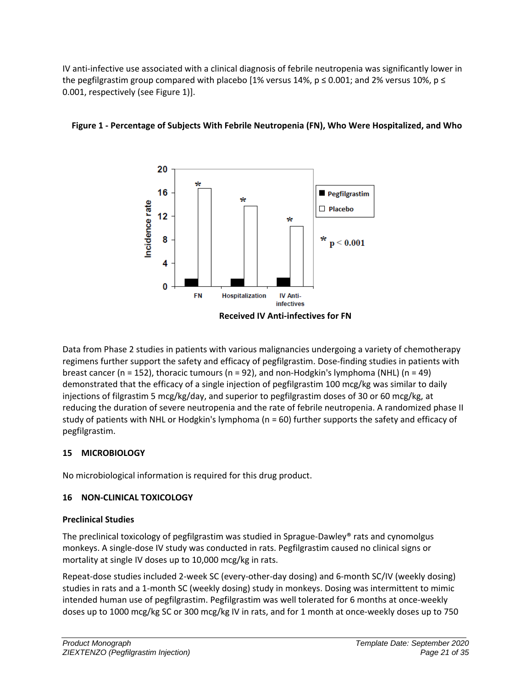IV anti-infective use associated with a clinical diagnosis of febrile neutropenia was significantly lower in the pegfilgrastim group compared with placebo [1% versus 14%,  $p \le 0.001$ ; and 2% versus 10%,  $p \le$ 0.001, respectively (see Figure 1)].



# **Figure 1 - Percentage of Subjects With Febrile Neutropenia (FN), Who Were Hospitalized, and Who**

Data from Phase 2 studies in patients with various malignancies undergoing a variety of chemotherapy regimens further support the safety and efficacy of pegfilgrastim. Dose-finding studies in patients with breast cancer (n = 152), thoracic tumours (n = 92), and non-Hodgkin's lymphoma (NHL) (n = 49) demonstrated that the efficacy of a single injection of pegfilgrastim 100 mcg/kg was similar to daily injections of filgrastim 5 mcg/kg/day, and superior to pegfilgrastim doses of 30 or 60 mcg/kg, at reducing the duration of severe neutropenia and the rate of febrile neutropenia. A randomized phase II study of patients with NHL or Hodgkin's lymphoma (n = 60) further supports the safety and efficacy of pegfilgrastim.

# <span id="page-20-0"></span>**15 MICROBIOLOGY**

No microbiological information is required for this drug product.

# <span id="page-20-1"></span>**16 NON-CLINICAL TOXICOLOGY**

# **Preclinical Studies**

The preclinical toxicology of pegfilgrastim was studied in Sprague-Dawley® rats and cynomolgus monkeys. A single-dose IV study was conducted in rats. Pegfilgrastim caused no clinical signs or mortality at single IV doses up to 10,000 mcg/kg in rats.

Repeat-dose studies included 2-week SC (every-other-day dosing) and 6-month SC/IV (weekly dosing) studies in rats and a 1-month SC (weekly dosing) study in monkeys. Dosing was intermittent to mimic intended human use of pegfilgrastim. Pegfilgrastim was well tolerated for 6 months at once-weekly doses up to 1000 mcg/kg SC or 300 mcg/kg IV in rats, and for 1 month at once-weekly doses up to 750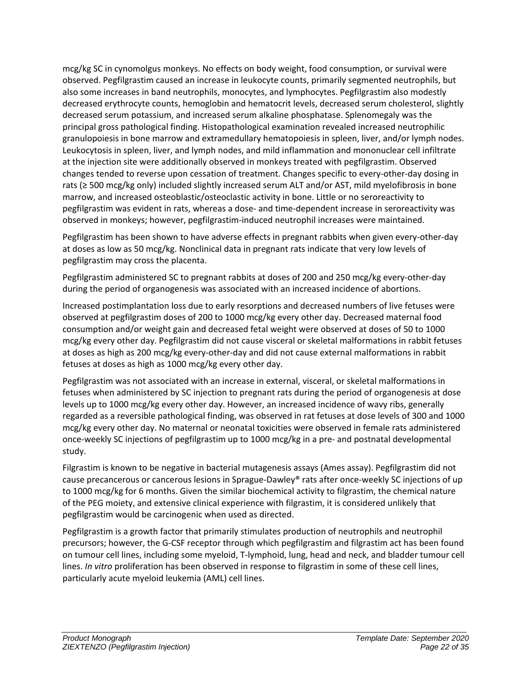mcg/kg SC in cynomolgus monkeys. No effects on body weight, food consumption, or survival were observed. Pegfilgrastim caused an increase in leukocyte counts, primarily segmented neutrophils, but also some increases in band neutrophils, monocytes, and lymphocytes. Pegfilgrastim also modestly decreased erythrocyte counts, hemoglobin and hematocrit levels, decreased serum cholesterol, slightly decreased serum potassium, and increased serum alkaline phosphatase. Splenomegaly was the principal gross pathological finding. Histopathological examination revealed increased neutrophilic granulopoiesis in bone marrow and extramedullary hematopoiesis in spleen, liver, and/or lymph nodes. Leukocytosis in spleen, liver, and lymph nodes, and mild inflammation and mononuclear cell infiltrate at the injection site were additionally observed in monkeys treated with pegfilgrastim. Observed changes tended to reverse upon cessation of treatment. Changes specific to every-other-day dosing in rats (≥ 500 mcg/kg only) included slightly increased serum ALT and/or AST, mild myelofibrosis in bone marrow, and increased osteoblastic/osteoclastic activity in bone. Little or no seroreactivity to pegfilgrastim was evident in rats, whereas a dose- and time-dependent increase in seroreactivity was observed in monkeys; however, pegfilgrastim-induced neutrophil increases were maintained.

Pegfilgrastim has been shown to have adverse effects in pregnant rabbits when given every-other-day at doses as low as 50 mcg/kg. Nonclinical data in pregnant rats indicate that very low levels of pegfilgrastim may cross the placenta.

Pegfilgrastim administered SC to pregnant rabbits at doses of 200 and 250 mcg/kg every-other-day during the period of organogenesis was associated with an increased incidence of abortions.

Increased postimplantation loss due to early resorptions and decreased numbers of live fetuses were observed at pegfilgrastim doses of 200 to 1000 mcg/kg every other day. Decreased maternal food consumption and/or weight gain and decreased fetal weight were observed at doses of 50 to 1000 mcg/kg every other day. Pegfilgrastim did not cause visceral or skeletal malformations in rabbit fetuses at doses as high as 200 mcg/kg every-other-day and did not cause external malformations in rabbit fetuses at doses as high as 1000 mcg/kg every other day.

Pegfilgrastim was not associated with an increase in external, visceral, or skeletal malformations in fetuses when administered by SC injection to pregnant rats during the period of organogenesis at dose levels up to 1000 mcg/kg every other day. However, an increased incidence of wavy ribs, generally regarded as a reversible pathological finding, was observed in rat fetuses at dose levels of 300 and 1000 mcg/kg every other day. No maternal or neonatal toxicities were observed in female rats administered once-weekly SC injections of pegfilgrastim up to 1000 mcg/kg in a pre- and postnatal developmental study.

Filgrastim is known to be negative in bacterial mutagenesis assays (Ames assay). Pegfilgrastim did not cause precancerous or cancerous lesions in Sprague-Dawley® rats after once-weekly SC injections of up to 1000 mcg/kg for 6 months. Given the similar biochemical activity to filgrastim, the chemical nature of the PEG moiety, and extensive clinical experience with filgrastim, it is considered unlikely that pegfilgrastim would be carcinogenic when used as directed.

Pegfilgrastim is a growth factor that primarily stimulates production of neutrophils and neutrophil precursors; however, the G-CSF receptor through which pegfilgrastim and filgrastim act has been found on tumour cell lines, including some myeloid, T-lymphoid, lung, head and neck, and bladder tumour cell lines. *In vitro* proliferation has been observed in response to filgrastim in some of these cell lines, particularly acute myeloid leukemia (AML) cell lines.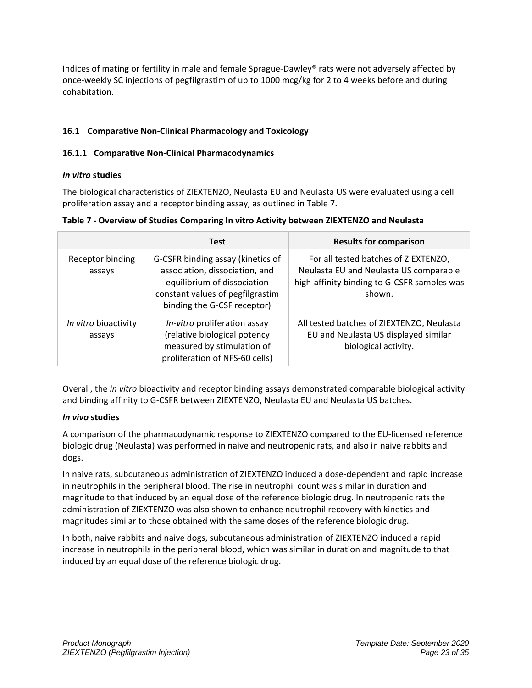Indices of mating or fertility in male and female Sprague-Dawley® rats were not adversely affected by once-weekly SC injections of pegfilgrastim of up to 1000 mcg/kg for 2 to 4 weeks before and during cohabitation.

# <span id="page-22-0"></span>**16.1 Comparative Non-Clinical Pharmacology and Toxicology**

# <span id="page-22-1"></span>**16.1.1 Comparative Non-Clinical Pharmacodynamics**

# *In vitro* **studies**

The biological characteristics of ZIEXTENZO, Neulasta EU and Neulasta US were evaluated using a cell proliferation assay and a receptor binding assay, as outlined in Table 7.

| Table 7 - Overview of Studies Comparing In vitro Activity between ZIEXTENZO and Neulasta |  |
|------------------------------------------------------------------------------------------|--|
|------------------------------------------------------------------------------------------|--|

|                                | <b>Test</b>                                                                                                                                                           | <b>Results for comparison</b>                                                                                                           |
|--------------------------------|-----------------------------------------------------------------------------------------------------------------------------------------------------------------------|-----------------------------------------------------------------------------------------------------------------------------------------|
| Receptor binding<br>assays     | G-CSFR binding assay (kinetics of<br>association, dissociation, and<br>equilibrium of dissociation<br>constant values of pegfilgrastim<br>binding the G-CSF receptor) | For all tested batches of ZIEXTENZO,<br>Neulasta EU and Neulasta US comparable<br>high-affinity binding to G-CSFR samples was<br>shown. |
| In vitro bioactivity<br>assays | In-vitro proliferation assay<br>(relative biological potency<br>measured by stimulation of<br>proliferation of NFS-60 cells)                                          | All tested batches of ZIEXTENZO, Neulasta<br>EU and Neulasta US displayed similar<br>biological activity.                               |

Overall, the *in vitro* bioactivity and receptor binding assays demonstrated comparable biological activity and binding affinity to G-CSFR between ZIEXTENZO, Neulasta EU and Neulasta US batches.

# *In vivo* **studies**

A comparison of the pharmacodynamic response to ZIEXTENZO compared to the EU-licensed reference biologic drug (Neulasta) was performed in naive and neutropenic rats, and also in naive rabbits and dogs.

In naive rats, subcutaneous administration of ZIEXTENZO induced a dose-dependent and rapid increase in neutrophils in the peripheral blood. The rise in neutrophil count was similar in duration and magnitude to that induced by an equal dose of the reference biologic drug. In neutropenic rats the administration of ZIEXTENZO was also shown to enhance neutrophil recovery with kinetics and magnitudes similar to those obtained with the same doses of the reference biologic drug.

In both, naive rabbits and naive dogs, subcutaneous administration of ZIEXTENZO induced a rapid increase in neutrophils in the peripheral blood, which was similar in duration and magnitude to that induced by an equal dose of the reference biologic drug.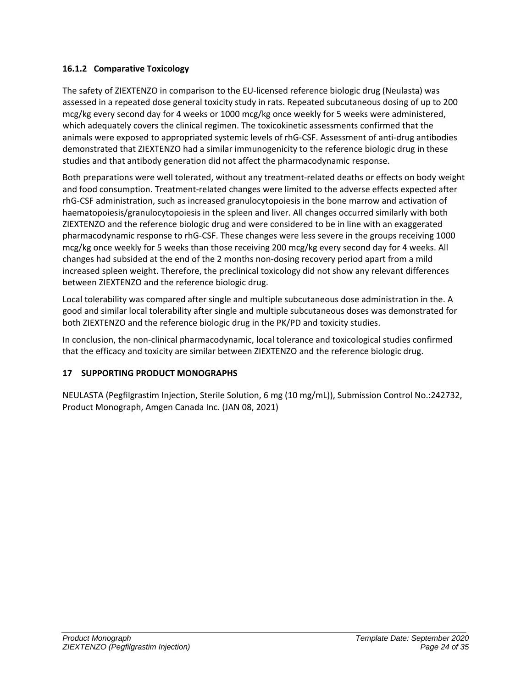# <span id="page-23-0"></span>**16.1.2 Comparative Toxicology**

The safety of ZIEXTENZO in comparison to the EU-licensed reference biologic drug (Neulasta) was assessed in a repeated dose general toxicity study in rats. Repeated subcutaneous dosing of up to 200 mcg/kg every second day for 4 weeks or 1000 mcg/kg once weekly for 5 weeks were administered, which adequately covers the clinical regimen. The toxicokinetic assessments confirmed that the animals were exposed to appropriated systemic levels of rhG-CSF. Assessment of anti-drug antibodies demonstrated that ZIEXTENZO had a similar immunogenicity to the reference biologic drug in these studies and that antibody generation did not affect the pharmacodynamic response.

Both preparations were well tolerated, without any treatment-related deaths or effects on body weight and food consumption. Treatment-related changes were limited to the adverse effects expected after rhG-CSF administration, such as increased granulocytopoiesis in the bone marrow and activation of haematopoiesis/granulocytopoiesis in the spleen and liver. All changes occurred similarly with both ZIEXTENZO and the reference biologic drug and were considered to be in line with an exaggerated pharmacodynamic response to rhG-CSF. These changes were less severe in the groups receiving 1000 mcg/kg once weekly for 5 weeks than those receiving 200 mcg/kg every second day for 4 weeks. All changes had subsided at the end of the 2 months non-dosing recovery period apart from a mild increased spleen weight. Therefore, the preclinical toxicology did not show any relevant differences between ZIEXTENZO and the reference biologic drug.

Local tolerability was compared after single and multiple subcutaneous dose administration in the. A good and similar local tolerability after single and multiple subcutaneous doses was demonstrated for both ZIEXTENZO and the reference biologic drug in the PK/PD and toxicity studies.

In conclusion, the non-clinical pharmacodynamic, local tolerance and toxicological studies confirmed that the efficacy and toxicity are similar between ZIEXTENZO and the reference biologic drug.

# <span id="page-23-1"></span>**17 SUPPORTING PRODUCT MONOGRAPHS**

NEULASTA (Pegfilgrastim Injection, Sterile Solution, 6 mg (10 mg/mL)), Submission Control No.:242732, Product Monograph, Amgen Canada Inc. (JAN 08, 2021)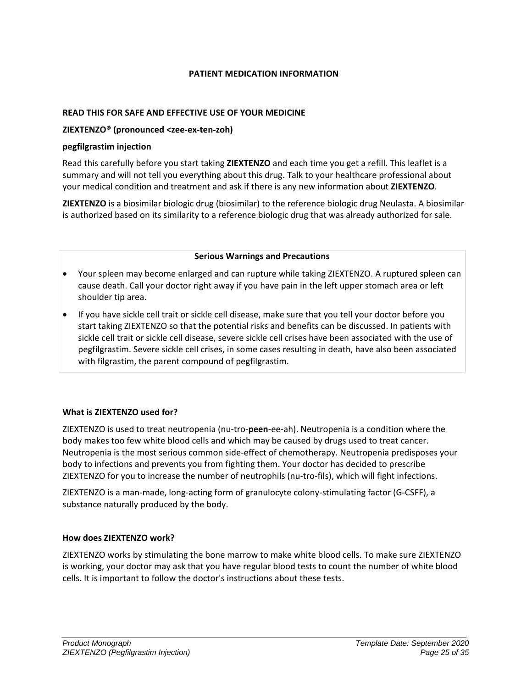## **PATIENT MEDICATION INFORMATION**

#### <span id="page-24-0"></span>**READ THIS FOR SAFE AND EFFECTIVE USE OF YOUR MEDICINE**

### **ZIEXTENZO® (pronounced <zee-ex-ten-zoh)**

#### **pegfilgrastim injection**

Read this carefully before you start taking **ZIEXTENZO** and each time you get a refill. This leaflet is a summary and will not tell you everything about this drug. Talk to your healthcare professional about your medical condition and treatment and ask if there is any new information about **ZIEXTENZO**.

**ZIEXTENZO** is a biosimilar biologic drug (biosimilar) to the reference biologic drug Neulasta. A biosimilar is authorized based on its similarity to a reference biologic drug that was already authorized for sale.

#### **Serious Warnings and Precautions**

- Your spleen may become enlarged and can rupture while taking ZIEXTENZO. A ruptured spleen can cause death. Call your doctor right away if you have pain in the left upper stomach area or left shoulder tip area.
- If you have sickle cell trait or sickle cell disease, make sure that you tell your doctor before you start taking ZIEXTENZO so that the potential risks and benefits can be discussed. In patients with sickle cell trait or sickle cell disease, severe sickle cell crises have been associated with the use of pegfilgrastim. Severe sickle cell crises, in some cases resulting in death, have also been associated with filgrastim, the parent compound of pegfilgrastim.

# **What is ZIEXTENZO used for?**

ZIEXTENZO is used to treat neutropenia (nu-tro-**peen**-ee-ah). Neutropenia is a condition where the body makes too few white blood cells and which may be caused by drugs used to treat cancer. Neutropenia is the most serious common side-effect of chemotherapy. Neutropenia predisposes your body to infections and prevents you from fighting them. Your doctor has decided to prescribe ZIEXTENZO for you to increase the number of neutrophils (nu-tro-fils), which will fight infections.

ZIEXTENZO is a man-made, long-acting form of granulocyte colony-stimulating factor (G-CSFF), a substance naturally produced by the body.

# **How does ZIEXTENZO work?**

ZIEXTENZO works by stimulating the bone marrow to make white blood cells. To make sure ZIEXTENZO is working, your doctor may ask that you have regular blood tests to count the number of white blood cells. It is important to follow the doctor's instructions about these tests.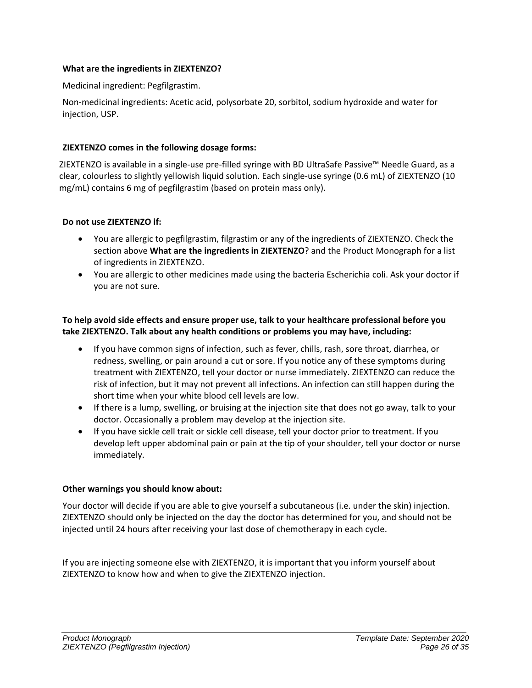## **What are the ingredients in ZIEXTENZO?**

Medicinal ingredient: Pegfilgrastim.

Non-medicinal ingredients: Acetic acid, polysorbate 20, sorbitol, sodium hydroxide and water for injection, USP.

## **ZIEXTENZO comes in the following dosage forms:**

ZIEXTENZO is available in a single-use pre-filled syringe with BD UltraSafe Passive™ Needle Guard, as a clear, colourless to slightly yellowish liquid solution. Each single-use syringe (0.6 mL) of ZIEXTENZO (10 mg/mL) contains 6 mg of pegfilgrastim (based on protein mass only).

### **Do not use ZIEXTENZO if:**

- You are allergic to pegfilgrastim, filgrastim or any of the ingredients of ZIEXTENZO. Check the section above **What are the ingredients in ZIEXTENZO**? and the Product Monograph for a list of ingredients in ZIEXTENZO.
- You are allergic to other medicines made using the bacteria Escherichia coli. Ask your doctor if you are not sure.

**To help avoid side effects and ensure proper use, talk to your healthcare professional before you take ZIEXTENZO. Talk about any health conditions or problems you may have, including:** 

- If you have common signs of infection, such as fever, chills, rash, sore throat, diarrhea, or redness, swelling, or pain around a cut or sore. If you notice any of these symptoms during treatment with ZIEXTENZO, tell your doctor or nurse immediately. ZIEXTENZO can reduce the risk of infection, but it may not prevent all infections. An infection can still happen during the short time when your white blood cell levels are low.
- If there is a lump, swelling, or bruising at the injection site that does not go away, talk to your doctor. Occasionally a problem may develop at the injection site.
- If you have sickle cell trait or sickle cell disease, tell your doctor prior to treatment. If you develop left upper abdominal pain or pain at the tip of your shoulder, tell your doctor or nurse immediately.

#### **Other warnings you should know about:**

Your doctor will decide if you are able to give yourself a subcutaneous (i.e. under the skin) injection. ZIEXTENZO should only be injected on the day the doctor has determined for you, and should not be injected until 24 hours after receiving your last dose of chemotherapy in each cycle.

If you are injecting someone else with ZIEXTENZO, it is important that you inform yourself about ZIEXTENZO to know how and when to give the ZIEXTENZO injection.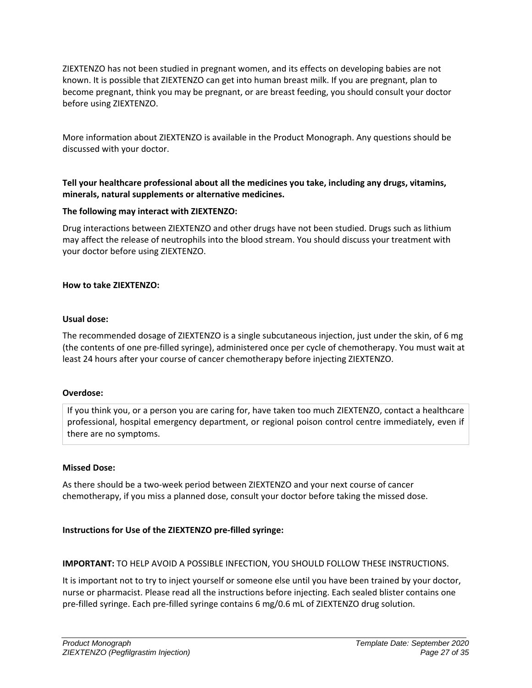ZIEXTENZO has not been studied in pregnant women, and its effects on developing babies are not known. It is possible that ZIEXTENZO can get into human breast milk. If you are pregnant, plan to become pregnant, think you may be pregnant, or are breast feeding, you should consult your doctor before using ZIEXTENZO.

More information about ZIEXTENZO is available in the Product Monograph. Any questions should be discussed with your doctor.

**Tell your healthcare professional about all the medicines you take, including any drugs, vitamins, minerals, natural supplements or alternative medicines.**

### **The following may interact with ZIEXTENZO:**

Drug interactions between ZIEXTENZO and other drugs have not been studied. Drugs such as lithium may affect the release of neutrophils into the blood stream. You should discuss your treatment with your doctor before using ZIEXTENZO.

### **How to take ZIEXTENZO:**

#### **Usual dose:**

The recommended dosage of ZIEXTENZO is a single subcutaneous injection, just under the skin, of 6 mg (the contents of one pre-filled syringe), administered once per cycle of chemotherapy. You must wait at least 24 hours after your course of cancer chemotherapy before injecting ZIEXTENZO.

#### **Overdose:**

If you think you, or a person you are caring for, have taken too much ZIEXTENZO, contact a healthcare professional, hospital emergency department, or regional poison control centre immediately, even if there are no symptoms.

#### **Missed Dose:**

As there should be a two-week period between ZIEXTENZO and your next course of cancer chemotherapy, if you miss a planned dose, consult your doctor before taking the missed dose.

# **Instructions for Use of the ZIEXTENZO pre-filled syringe:**

# **IMPORTANT:** TO HELP AVOID A POSSIBLE INFECTION, YOU SHOULD FOLLOW THESE INSTRUCTIONS.

It is important not to try to inject yourself or someone else until you have been trained by your doctor, nurse or pharmacist. Please read all the instructions before injecting. Each sealed blister contains one pre-filled syringe. Each pre-filled syringe contains 6 mg/0.6 mL of ZIEXTENZO drug solution.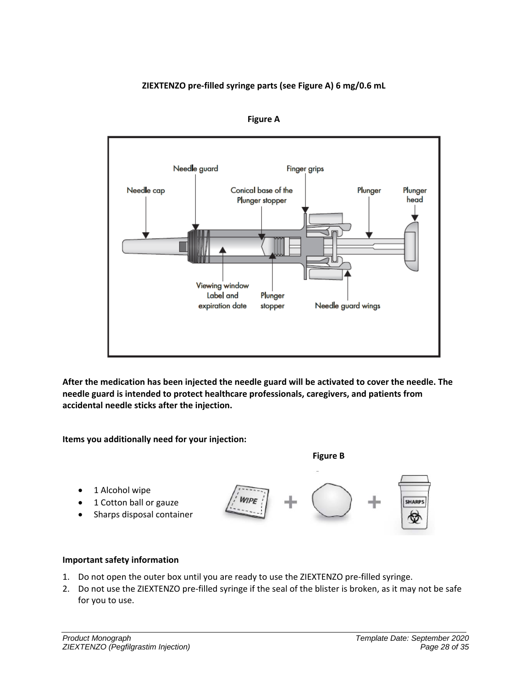# **ZIEXTENZO pre-filled syringe parts (see Figure A) 6 mg/0.6 mL**



**Figure A**

**After the medication has been injected the needle guard will be activated to cover the needle. The needle guard is intended to protect healthcare professionals, caregivers, and patients from accidental needle sticks after the injection.**

**Items you additionally need for your injection:**



• 1 Alcohol wipe • 1 Cotton ball or gauze **SHARPS** • Sharps disposal container G

# **Important safety information**

- 1. Do not open the outer box until you are ready to use the ZIEXTENZO pre-filled syringe.
- 2. Do not use the ZIEXTENZO pre-filled syringe if the seal of the blister is broken, as it may not be safe for you to use.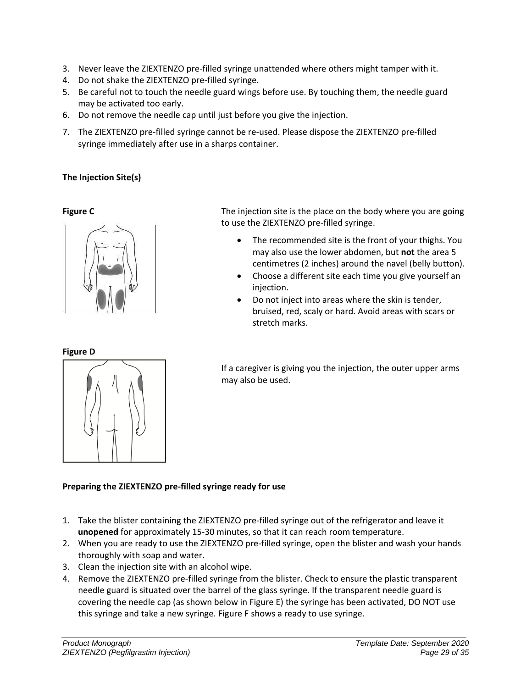- 3. Never leave the ZIEXTENZO pre-filled syringe unattended where others might tamper with it.
- 4. Do not shake the ZIEXTENZO pre-filled syringe.
- 5. Be careful not to touch the needle guard wings before use. By touching them, the needle guard may be activated too early.
- 6. Do not remove the needle cap until just before you give the injection.
- 7. The ZIEXTENZO pre-filled syringe cannot be re-used. Please dispose the ZIEXTENZO pre-filled syringe immediately after use in a sharps container.

# **The Injection Site(s)**



**Figure C** The injection site is the place on the body where you are going to use the ZIEXTENZO pre-filled syringe.

- The recommended site is the front of your thighs. You may also use the lower abdomen, but **not** the area 5 centimetres (2 inches) around the navel (belly button).
- Choose a different site each time you give yourself an injection.
- Do not inject into areas where the skin is tender, bruised, red, scaly or hard. Avoid areas with scars or stretch marks.

If a caregiver is giving you the injection, the outer upper arms may also be used.

#### **Preparing the ZIEXTENZO pre-filled syringe ready for use**

- 1. Take the blister containing the ZIEXTENZO pre-filled syringe out of the refrigerator and leave it **unopened** for approximately 15-30 minutes, so that it can reach room temperature.
- 2. When you are ready to use the ZIEXTENZO pre-filled syringe, open the blister and wash your hands thoroughly with soap and water.
- 3. Clean the injection site with an alcohol wipe.
- 4. Remove the ZIEXTENZO pre-filled syringe from the blister. Check to ensure the plastic transparent needle guard is situated over the barrel of the glass syringe. If the transparent needle guard is covering the needle cap (as shown below in Figure E) the syringe has been activated, DO NOT use this syringe and take a new syringe. Figure F shows a ready to use syringe.

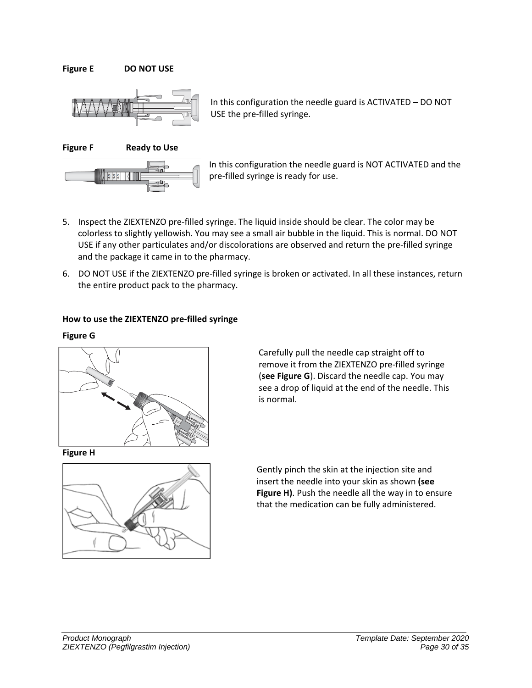**Figure E DO NOT USE**



In this configuration the needle guard is ACTIVATED – DO NOT USE the pre-filled syringe.

**Figure F Ready to Use**



In this configuration the needle guard is NOT ACTIVATED and the pre-filled syringe is ready for use.

- 5. Inspect the ZIEXTENZO pre-filled syringe. The liquid inside should be clear. The color may be colorless to slightly yellowish. You may see a small air bubble in the liquid. This is normal. DO NOT USE if any other particulates and/or discolorations are observed and return the pre-filled syringe and the package it came in to the pharmacy.
- 6. DO NOT USE if the ZIEXTENZO pre-filled syringe is broken or activated. In all these instances, return the entire product pack to the pharmacy.

### **How to use the ZIEXTENZO pre-filled syringe**

#### **Figure G**



**Figure H** 



Carefully pull the needle cap straight off to remove it from the ZIEXTENZO pre-filled syringe (**see Figure G**). Discard the needle cap. You may see a drop of liquid at the end of the needle. This is normal.

Gently pinch the skin at the injection site and insert the needle into your skin as shown **(see Figure H)**. Push the needle all the way in to ensure that the medication can be fully administered.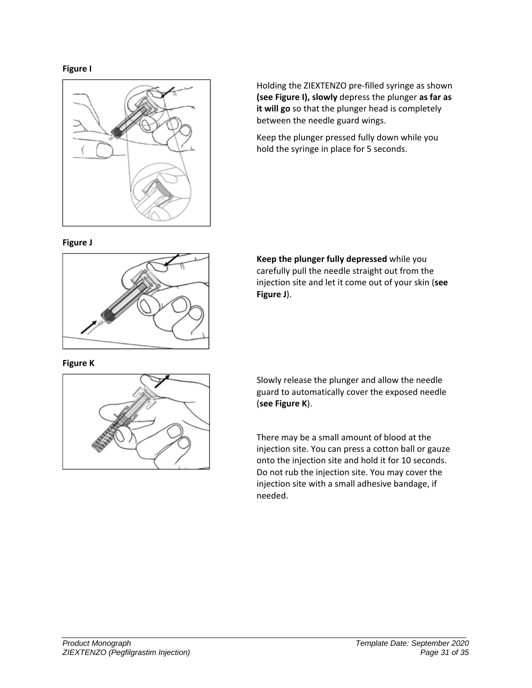



Holding the ZIEXTENZO pre-filled syringe as shown **(see Figure I), slowly** depress the plunger **as far as it will go** so that the plunger head is completely between the needle guard wings.

Keep the plunger pressed fully down while you hold the syringe in place for 5 seconds.



**Keep the plunger fully depressed** while you carefully pull the needle straight out from the injection site and let it come out of your skin (**see Figure J**).

**Figure K**



Slowly release the plunger and allow the needle guard to automatically cover the exposed needle (**see Figure K**).

There may be a small amount of blood at the injection site. You can press a cotton ball or gauze onto the injection site and hold it for 10 seconds. Do not rub the injection site. You may cover the injection site with a small adhesive bandage, if needed.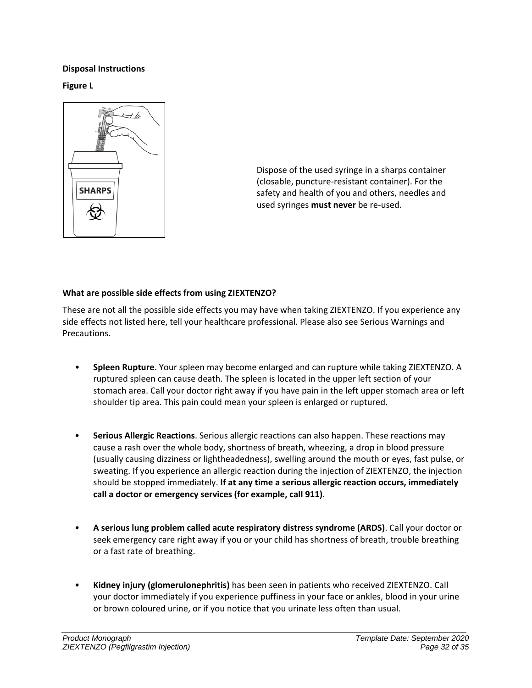## **Disposal Instructions**

**Figure L**



Dispose of the used syringe in a sharps container (closable, puncture-resistant container). For the safety and health of you and others, needles and used syringes **must never** be re-used.

# **What are possible side effects from using ZIEXTENZO?**

These are not all the possible side effects you may have when taking ZIEXTENZO. If you experience any side effects not listed here, tell your healthcare professional. Please also see Serious Warnings and Precautions.

- **Spleen Rupture**. Your spleen may become enlarged and can rupture while taking ZIEXTENZO. A ruptured spleen can cause death. The spleen is located in the upper left section of your stomach area. Call your doctor right away if you have pain in the left upper stomach area or left shoulder tip area. This pain could mean your spleen is enlarged or ruptured.
- **Serious Allergic Reactions**. Serious allergic reactions can also happen. These reactions may cause a rash over the whole body, shortness of breath, wheezing, a drop in blood pressure (usually causing dizziness or lightheadedness), swelling around the mouth or eyes, fast pulse, or sweating. If you experience an allergic reaction during the injection of ZIEXTENZO, the injection should be stopped immediately. **If at any time a serious allergic reaction occurs, immediately call a doctor or emergency services (for example, call 911)**.
- **A serious lung problem called acute respiratory distress syndrome (ARDS)**. Call your doctor or seek emergency care right away if you or your child has shortness of breath, trouble breathing or a fast rate of breathing.
- **Kidney injury (glomerulonephritis)** has been seen in patients who received ZIEXTENZO. Call your doctor immediately if you experience puffiness in your face or ankles, blood in your urine or brown coloured urine, or if you notice that you urinate less often than usual.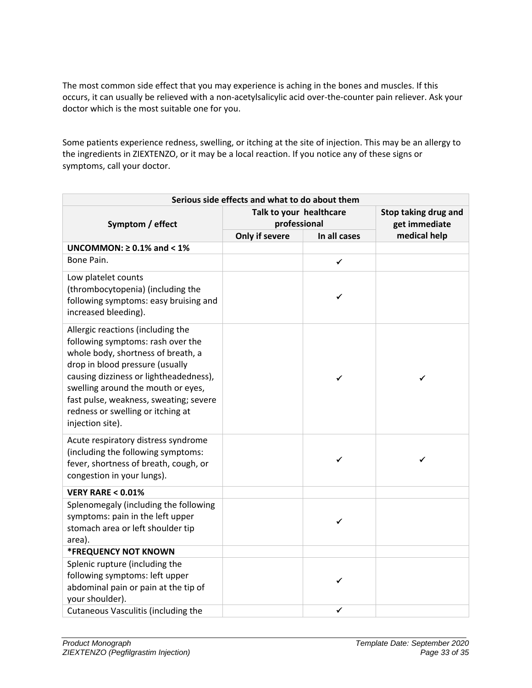The most common side effect that you may experience is aching in the bones and muscles. If this occurs, it can usually be relieved with a non-acetylsalicylic acid over-the-counter pain reliever. Ask your doctor which is the most suitable one for you.

Some patients experience redness, swelling, or itching at the site of injection. This may be an allergy to the ingredients in ZIEXTENZO, or it may be a local reaction. If you notice any of these signs or symptoms, call your doctor.

| Serious side effects and what to do about them                                                                                                                                                                                                                                                                                     |                                         |                                       |              |  |  |  |
|------------------------------------------------------------------------------------------------------------------------------------------------------------------------------------------------------------------------------------------------------------------------------------------------------------------------------------|-----------------------------------------|---------------------------------------|--------------|--|--|--|
| Symptom / effect                                                                                                                                                                                                                                                                                                                   | Talk to your healthcare<br>professional | Stop taking drug and<br>get immediate |              |  |  |  |
|                                                                                                                                                                                                                                                                                                                                    | Only if severe                          | In all cases                          | medical help |  |  |  |
| UNCOMMON: $\geq$ 0.1% and < 1%                                                                                                                                                                                                                                                                                                     |                                         |                                       |              |  |  |  |
| Bone Pain.                                                                                                                                                                                                                                                                                                                         |                                         | $\checkmark$                          |              |  |  |  |
| Low platelet counts<br>(thrombocytopenia) (including the<br>following symptoms: easy bruising and<br>increased bleeding).                                                                                                                                                                                                          |                                         | ✓                                     |              |  |  |  |
| Allergic reactions (including the<br>following symptoms: rash over the<br>whole body, shortness of breath, a<br>drop in blood pressure (usually<br>causing dizziness or lightheadedness),<br>swelling around the mouth or eyes,<br>fast pulse, weakness, sweating; severe<br>redness or swelling or itching at<br>injection site). |                                         | ✓                                     | ✓            |  |  |  |
| Acute respiratory distress syndrome<br>(including the following symptoms:<br>fever, shortness of breath, cough, or<br>congestion in your lungs).                                                                                                                                                                                   |                                         | ✓                                     | ✔            |  |  |  |
| <b>VERY RARE &lt; 0.01%</b>                                                                                                                                                                                                                                                                                                        |                                         |                                       |              |  |  |  |
| Splenomegaly (including the following<br>symptoms: pain in the left upper<br>stomach area or left shoulder tip<br>area).                                                                                                                                                                                                           |                                         | ✓                                     |              |  |  |  |
| <b>*FREQUENCY NOT KNOWN</b>                                                                                                                                                                                                                                                                                                        |                                         |                                       |              |  |  |  |
| Splenic rupture (including the<br>following symptoms: left upper<br>abdominal pain or pain at the tip of<br>your shoulder).                                                                                                                                                                                                        |                                         | ✓                                     |              |  |  |  |
| Cutaneous Vasculitis (including the                                                                                                                                                                                                                                                                                                |                                         | ✔                                     |              |  |  |  |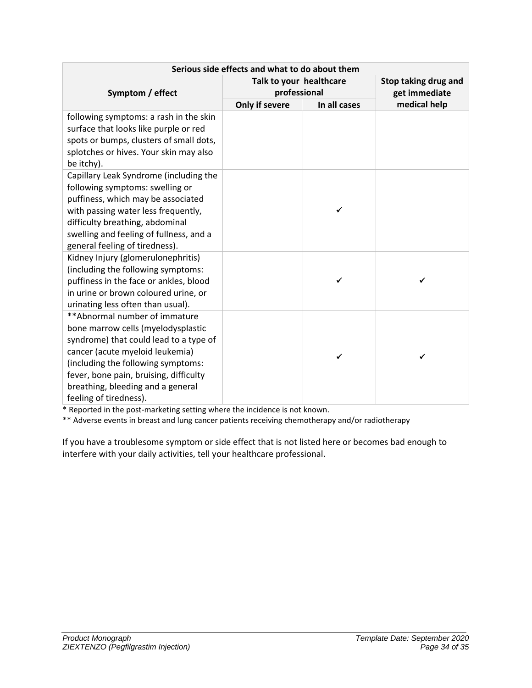| Serious side effects and what to do about them                                                                                                                                                                                                                                                   |                                         |                                       |              |  |  |  |
|--------------------------------------------------------------------------------------------------------------------------------------------------------------------------------------------------------------------------------------------------------------------------------------------------|-----------------------------------------|---------------------------------------|--------------|--|--|--|
| Symptom / effect                                                                                                                                                                                                                                                                                 | Talk to your healthcare<br>professional | Stop taking drug and<br>get immediate |              |  |  |  |
|                                                                                                                                                                                                                                                                                                  | Only if severe                          | In all cases                          | medical help |  |  |  |
| following symptoms: a rash in the skin<br>surface that looks like purple or red<br>spots or bumps, clusters of small dots,<br>splotches or hives. Your skin may also<br>be itchy).                                                                                                               |                                         |                                       |              |  |  |  |
| Capillary Leak Syndrome (including the<br>following symptoms: swelling or<br>puffiness, which may be associated<br>with passing water less frequently,<br>difficulty breathing, abdominal<br>swelling and feeling of fullness, and a<br>general feeling of tiredness).                           |                                         | ✓                                     |              |  |  |  |
| Kidney Injury (glomerulonephritis)<br>(including the following symptoms:<br>puffiness in the face or ankles, blood<br>in urine or brown coloured urine, or<br>urinating less often than usual).                                                                                                  |                                         |                                       | ✓            |  |  |  |
| ** Abnormal number of immature<br>bone marrow cells (myelodysplastic<br>syndrome) that could lead to a type of<br>cancer (acute myeloid leukemia)<br>(including the following symptoms:<br>fever, bone pain, bruising, difficulty<br>breathing, bleeding and a general<br>feeling of tiredness). |                                         | ✓                                     | ✓            |  |  |  |

\* Reported in the post-marketing setting where the incidence is not known.

\*\* Adverse events in breast and lung cancer patients receiving chemotherapy and/or radiotherapy

If you have a troublesome symptom or side effect that is not listed here or becomes bad enough to interfere with your daily activities, tell your healthcare professional.